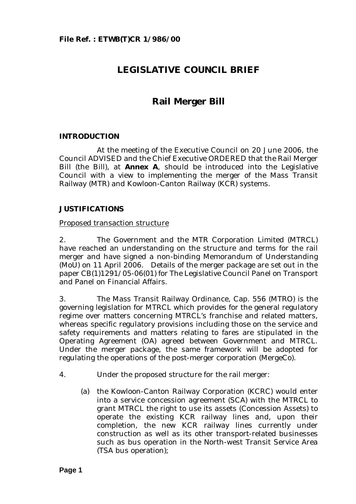# **LEGISLATIVE COUNCIL BRIEF**

# **Rail Merger Bill**

# **INTRODUCTION**

At the meeting of the Executive Council on 20 June 2006, the Council ADVISED and the Chief Executive ORDERED that the Rail Merger Bill (the Bill), at **Annex A**, should be introduced into the Legislative Council with a view to implementing the merger of the Mass Transit Railway (MTR) and Kowloon-Canton Railway (KCR) systems.

# **JUSTIFICATIONS**

#### Proposed transaction structure

2. The Government and the MTR Corporation Limited (MTRCL) have reached an understanding on the structure and terms for the rail merger and have signed a non-binding Memorandum of Understanding (MoU) on 11 April 2006. Details of the merger package are set out in the paper CB(1)1291/05-06(01) for The Legislative Council Panel on Transport and Panel on Financial Affairs.

3. The Mass Transit Railway Ordinance, Cap. 556 (MTRO) is the governing legislation for MTRCL which provides for the general regulatory regime over matters concerning MTRCL's franchise and related matters, whereas specific regulatory provisions including those on the service and safety requirements and matters relating to fares are stipulated in the Operating Agreement (OA) agreed between Government and MTRCL. Under the merger package, the same framework will be adopted for regulating the operations of the post-merger corporation (MergeCo).

- 4. Under the proposed structure for the rail merger:
	- (a) the Kowloon-Canton Railway Corporation (KCRC) would enter into a service concession agreement (SCA) with the MTRCL to grant MTRCL the right to use its assets (Concession Assets) to operate the existing KCR railway lines and, upon their completion, the new KCR railway lines currently under construction as well as its other transport-related businesses such as bus operation in the North-west Transit Service Area (TSA bus operation);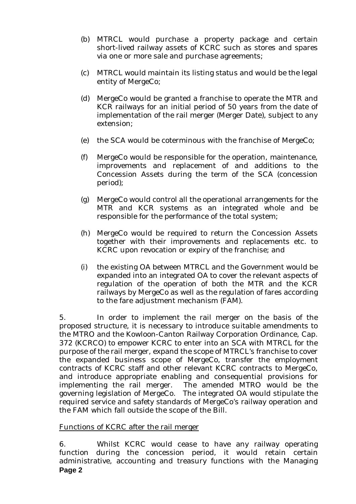- (b) MTRCL would purchase a property package and certain short-lived railway assets of KCRC such as stores and spares via one or more sale and purchase agreements;
- (c) MTRCL would maintain its listing status and would be the legal entity of MergeCo;
- (d) MergeCo would be granted a franchise to operate the MTR and KCR railways for an initial period of 50 years from the date of implementation of the rail merger (Merger Date), subject to any extension;
- (e) the SCA would be coterminous with the franchise of MergeCo;
- (f) MergeCo would be responsible for the operation, maintenance, improvements and replacement of and additions to the Concession Assets during the term of the SCA (concession period);
- (g) MergeCo would control all the operational arrangements for the MTR and KCR systems as an integrated whole and be responsible for the performance of the total system;
- (h) MergeCo would be required to return the Concession Assets together with their improvements and replacements etc. to KCRC upon revocation or expiry of the franchise; and
- (i) the existing OA between MTRCL and the Government would be expanded into an integrated OA to cover the relevant aspects of regulation of the operation of both the MTR and the KCR railways by MergeCo as well as the regulation of fares according to the fare adjustment mechanism (FAM).

5. In order to implement the rail merger on the basis of the proposed structure, it is necessary to introduce suitable amendments to the MTRO and the Kowloon-Canton Railway Corporation Ordinance, Cap. 372 (KCRCO) to empower KCRC to enter into an SCA with MTRCL for the purpose of the rail merger, expand the scope of MTRCL's franchise to cover the expanded business scope of MergeCo, transfer the employment contracts of KCRC staff and other relevant KCRC contracts to MergeCo, and introduce appropriate enabling and consequential provisions for implementing the rail merger. The amended MTRO would be the governing legislation of MergeCo. The integrated OA would stipulate the required service and safety standards of MergeCo's railway operation and the FAM which fall outside the scope of the Bill.

# Functions of KCRC after the rail merger

**Page 2**  6. Whilst KCRC would cease to have any railway operating function during the concession period, it would retain certain administrative, accounting and treasury functions with the Managing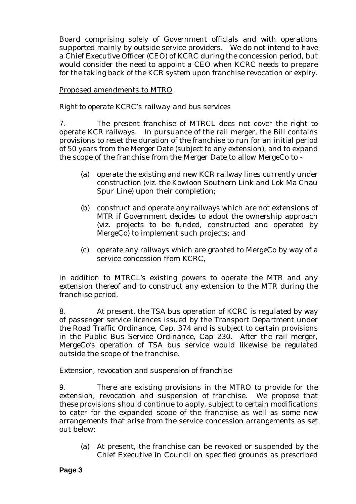Board comprising solely of Government officials and with operations supported mainly by outside service providers. We do not intend to have a Chief Executive Officer (CEO) of KCRC during the concession period, but would consider the need to appoint a CEO when KCRC needs to prepare for the taking back of the KCR system upon franchise revocation or expiry.

# Proposed amendments to MTRO

# *Right to operate KCRC's railway and bus services*

7. The present franchise of MTRCL does not cover the right to operate KCR railways. In pursuance of the rail merger, the Bill contains provisions to reset the duration of the franchise to run for an initial period of 50 years from the Merger Date (subject to any extension), and to expand the scope of the franchise from the Merger Date to allow MergeCo to -

- (a) operate the existing and new KCR railway lines currently under construction (viz. the Kowloon Southern Link and Lok Ma Chau Spur Line) upon their completion;
- (b) construct and operate any railways which are not extensions of MTR if Government decides to adopt the ownership approach (viz. projects to be funded, constructed and operated by MergeCo) to implement such projects; and
- (c) operate any railways which are granted to MergeCo by way of a service concession from KCRC,

in addition to MTRCL's existing powers to operate the MTR and any extension thereof and to construct any extension to the MTR during the franchise period.

8. At present, the TSA bus operation of KCRC is regulated by way of passenger service licences issued by the Transport Department under the Road Traffic Ordinance, Cap. 374 and is subject to certain provisions in the Public Bus Service Ordinance, Cap 230. After the rail merger, MergeCo's operation of TSA bus service would likewise be regulated outside the scope of the franchise.

# *Extension, revocation and suspension of franchise*

9. There are existing provisions in the MTRO to provide for the extension, revocation and suspension of franchise. We propose that these provisions should continue to apply, subject to certain modifications to cater for the expanded scope of the franchise as well as some new arrangements that arise from the service concession arrangements as set out below:

(a) At present, the franchise can be revoked or suspended by the Chief Executive in Council on specified grounds as prescribed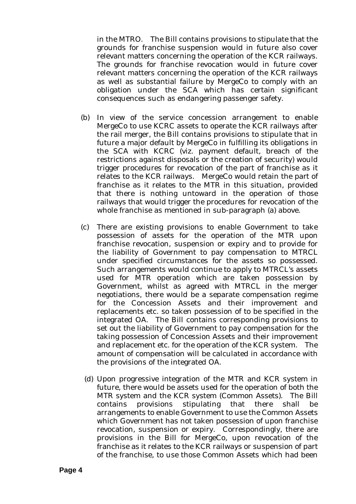in the MTRO. The Bill contains provisions to stipulate that the grounds for franchise suspension would in future also cover relevant matters concerning the operation of the KCR railways. The grounds for franchise revocation would in future cover relevant matters concerning the operation of the KCR railways as well as substantial failure by MergeCo to comply with an obligation under the SCA which has certain significant consequences such as endangering passenger safety.

- (b) In view of the service concession arrangement to enable MergeCo to use KCRC assets to operate the KCR railways after the rail merger, the Bill contains provisions to stipulate that in future a major default by MergeCo in fulfilling its obligations in the SCA with KCRC (viz. payment default, breach of the restrictions against disposals or the creation of security) would trigger procedures for revocation of the part of franchise as it relates to the KCR railways. MergeCo would retain the part of franchise as it relates to the MTR in this situation, provided that there is nothing untoward in the operation of those railways that would trigger the procedures for revocation of the whole franchise as mentioned in sub-paragraph (a) above.
- (c) There are existing provisions to enable Government to take possession of assets for the operation of the MTR upon franchise revocation, suspension or expiry and to provide for the liability of Government to pay compensation to MTRCL under specified circumstances for the assets so possessed. Such arrangements would continue to apply to MTRCL's assets used for MTR operation which are taken possession by Government, whilst as agreed with MTRCL in the merger negotiations, there would be a separate compensation regime for the Concession Assets and their improvement and replacements etc. so taken possession of to be specified in the integrated OA. The Bill contains corresponding provisions to set out the liability of Government to pay compensation for the taking possession of Concession Assets and their improvement and replacement etc. for the operation of the KCR system. The amount of compensation will be calculated in accordance with the provisions of the integrated OA.
- (d) Upon progressive integration of the MTR and KCR system in future, there would be assets used for the operation of both the MTR system and the KCR system (Common Assets). The Bill contains provisions stipulating that there shall be arrangements to enable Government to use the Common Assets which Government has not taken possession of upon franchise revocation, suspension or expiry. Correspondingly, there are provisions in the Bill for MergeCo, upon revocation of the franchise as it relates to the KCR railways or suspension of part of the franchise, to use those Common Assets which had been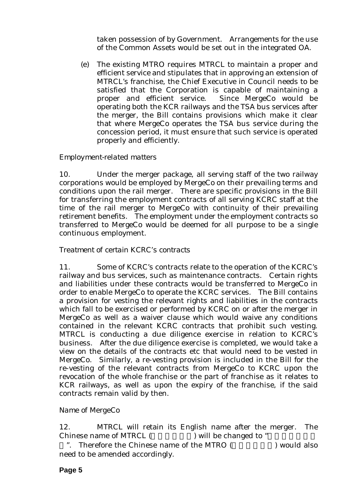taken possession of by Government. Arrangements for the use of the Common Assets would be set out in the integrated OA.

(e) The existing MTRO requires MTRCL to maintain a proper and efficient service and stipulates that in approving an extension of MTRCL's franchise, the Chief Executive in Council needs to be satisfied that the Corporation is capable of maintaining a proper and efficient service. Since MergeCo would be operating both the KCR railways and the TSA bus services after the merger, the Bill contains provisions which make it clear that where MergeCo operates the TSA bus service during the concession period, it must ensure that such service is operated properly and efficiently.

# *Employment-related matters*

10. Under the merger package, all serving staff of the two railway corporations would be employed by MergeCo on their prevailing terms and conditions upon the rail merger. There are specific provisions in the Bill for transferring the employment contracts of all serving KCRC staff at the time of the rail merger to MergeCo with continuity of their prevailing retirement benefits. The employment under the employment contracts so transferred to MergeCo would be deemed for all purpose to be a single continuous employment.

# *Treatment of certain KCRC's contracts*

11. Some of KCRC's contracts relate to the operation of the KCRC's railway and bus services, such as maintenance contracts. Certain rights and liabilities under these contracts would be transferred to MergeCo in order to enable MergeCo to operate the KCRC services. The Bill contains a provision for vesting the relevant rights and liabilities in the contracts which fall to be exercised or performed by KCRC on or after the merger in MergeCo as well as a waiver clause which would waive any conditions contained in the relevant KCRC contracts that prohibit such vesting. MTRCL is conducting a due diligence exercise in relation to KCRC's business. After the due diligence exercise is completed, we would take a view on the details of the contracts etc that would need to be vested in MergeCo. Similarly, a re-vesting provision is included in the Bill for the re-vesting of the relevant contracts from MergeCo to KCRC upon the revocation of the whole franchise or the part of franchise as it relates to KCR railways, as well as upon the expiry of the franchise, if the said contracts remain valid by then.

# *Name of MergeCo*

12. MTRCL will retain its English name after the merger. The Chinese name of MTRCL () will be changed to "

". Therefore the Chinese name of the MTRO ( ) would also need to be amended accordingly.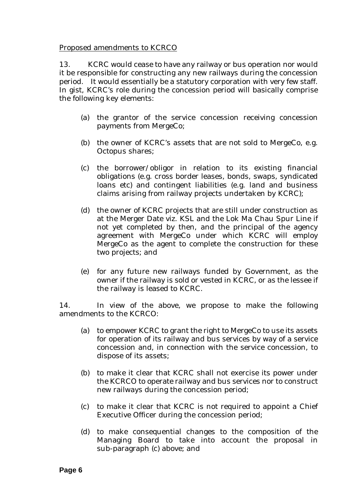# Proposed amendments to KCRCO

13. KCRC would cease to have any railway or bus operation nor would it be responsible for constructing any new railways during the concession period. It would essentially be a statutory corporation with very few staff. In gist, KCRC's role during the concession period will basically comprise the following key elements:

- (a) the grantor of the service concession receiving concession payments from MergeCo;
- (b) the owner of KCRC's assets that are not sold to MergeCo, e.g. Octopus shares;
- (c) the borrower/obligor in relation to its existing financial obligations (e.g. cross border leases, bonds, swaps, syndicated loans etc) and contingent liabilities (e.g. land and business claims arising from railway projects undertaken by KCRC);
- (d) the owner of KCRC projects that are still under construction as at the Merger Date viz. KSL and the Lok Ma Chau Spur Line if not yet completed by then, and the principal of the agency agreement with MergeCo under which KCRC will employ MergeCo as the agent to complete the construction for these two projects; and
- (e) for any future new railways funded by Government, as the owner if the railway is sold or vested in KCRC, or as the lessee if the railway is leased to KCRC.

14. In view of the above, we propose to make the following amendments to the KCRCO:

- (a) to empower KCRC to grant the right to MergeCo to use its assets for operation of its railway and bus services by way of a service concession and, in connection with the service concession, to dispose of its assets;
- (b) to make it clear that KCRC shall not exercise its power under the KCRCO to operate railway and bus services nor to construct new railways during the concession period;
- (c) to make it clear that KCRC is not required to appoint a Chief Executive Officer during the concession period;
- (d) to make consequential changes to the composition of the Managing Board to take into account the proposal in sub-paragraph (c) above; and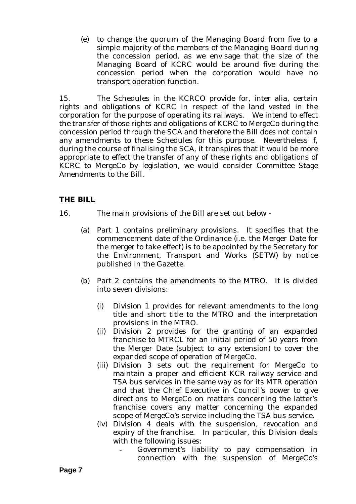(e) to change the quorum of the Managing Board from five to a simple majority of the members of the Managing Board during the concession period, as we envisage that the size of the Managing Board of KCRC would be around five during the concession period when the corporation would have no transport operation function.

15. The Schedules in the KCRCO provide for, inter alia, certain rights and obligations of KCRC in respect of the land vested in the corporation for the purpose of operating its railways. We intend to effect the transfer of those rights and obligations of KCRC to MergeCo during the concession period through the SCA and therefore the Bill does not contain any amendments to these Schedules for this purpose. Nevertheless if, during the course of finalising the SCA, it transpires that it would be more appropriate to effect the transfer of any of these rights and obligations of KCRC to MergeCo by legislation, we would consider Committee Stage Amendments to the Bill.

# **THE BILL**

- 16. The main provisions of the Bill are set out below
	- (a) Part 1 contains preliminary provisions. It specifies that the commencement date of the Ordinance (i.e. the Merger Date for the merger to take effect) is to be appointed by the Secretary for the Environment, Transport and Works (SETW) by notice published in the Gazette.
	- (b) Part 2 contains the amendments to the MTRO. It is divided into seven divisions:
		- (i) Division 1 provides for relevant amendments to the long title and short title to the MTRO and the interpretation provisions in the MTRO.
		- (ii) Division 2 provides for the granting of an expanded franchise to MTRCL for an initial period of 50 years from the Merger Date (subject to any extension) to cover the expanded scope of operation of MergeCo.
		- (iii) Division 3 sets out the requirement for MergeCo to maintain a proper and efficient KCR railway service and TSA bus services in the same way as for its MTR operation and that the Chief Executive in Council's power to give directions to MergeCo on matters concerning the latter's franchise covers any matter concerning the expanded scope of MergeCo's service including the TSA bus service.
		- (iv) Division 4 deals with the suspension, revocation and expiry of the franchise. In particular, this Division deals with the following issues:
			- Government's liability to pay compensation in connection with the suspension of MergeCo's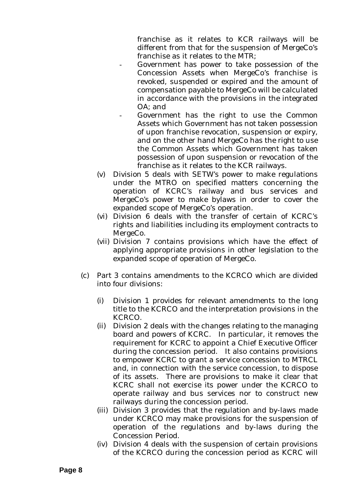franchise as it relates to KCR railways will be different from that for the suspension of MergeCo's franchise as it relates to the MTR;

- Government has power to take possession of the Concession Assets when MergeCo's franchise is revoked, suspended or expired and the amount of compensation payable to MergeCo will be calculated in accordance with the provisions in the integrated OA; and
- Government has the right to use the Common Assets which Government has not taken possession of upon franchise revocation, suspension or expiry, and on the other hand MergeCo has the right to use the Common Assets which Government has taken possession of upon suspension or revocation of the franchise as it relates to the KCR railways.
- (v) Division 5 deals with SETW's power to make regulations under the MTRO on specified matters concerning the operation of KCRC's railway and bus services and MergeCo's power to make bylaws in order to cover the expanded scope of MergeCo's operation.
- (vi) Division 6 deals with the transfer of certain of KCRC's rights and liabilities including its employment contracts to MergeCo.
- (vii) Division 7 contains provisions which have the effect of applying appropriate provisions in other legislation to the expanded scope of operation of MergeCo.
- (c) Part 3 contains amendments to the KCRCO which are divided into four divisions:
	- (i) Division 1 provides for relevant amendments to the long title to the KCRCO and the interpretation provisions in the KCRCO.
	- (ii) Division 2 deals with the changes relating to the managing board and powers of KCRC. In particular, it removes the requirement for KCRC to appoint a Chief Executive Officer during the concession period. It also contains provisions to empower KCRC to grant a service concession to MTRCL and, in connection with the service concession, to dispose of its assets. There are provisions to make it clear that KCRC shall not exercise its power under the KCRCO to operate railway and bus services nor to construct new railways during the concession period.
	- (iii) Division 3 provides that the regulation and by-laws made under KCRCO may make provisions for the suspension of operation of the regulations and by-laws during the Concession Period.
	- (iv) Division 4 deals with the suspension of certain provisions of the KCRCO during the concession period as KCRC will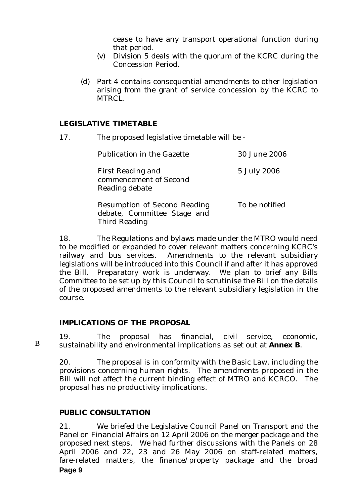cease to have any transport operational function during that period.

- (v) Division 5 deals with the quorum of the KCRC during the Concession Period.
- (d) Part 4 contains consequential amendments to other legislation arising from the grant of service concession by the KCRC to MTRCL.

#### **LEGISLATIVE TIMETABLE**

17. The proposed legislative timetable will be -

| <b>Publication in the Gazette</b>                                                          | 30 June 2006   |
|--------------------------------------------------------------------------------------------|----------------|
| <b>First Reading and</b><br>commencement of Second<br>Reading debate                       | 5 July 2006    |
| <b>Resumption of Second Reading</b><br>debate, Committee Stage and<br><b>Third Reading</b> | To be notified |

18. The Regulations and bylaws made under the MTRO would need to be modified or expanded to cover relevant matters concerning KCRC's railway and bus services. Amendments to the relevant subsidiary legislations will be introduced into this Council if and after it has approved the Bill. Preparatory work is underway. We plan to brief any Bills Committee to be set up by this Council to scrutinise the Bill on the details of the proposed amendments to the relevant subsidiary legislation in the course.

# **IMPLICATIONS OF THE PROPOSAL**

19. The proposal has financial, civil service, economic, sustainability and environmental implications as set out at **Annex B**.

20. The proposal is in conformity with the Basic Law, including the provisions concerning human rights. The amendments proposed in the Bill will not affect the current binding effect of MTRO and KCRCO. The proposal has no productivity implications.

# **PUBLIC CONSULTATION**

B

**Page 9**  21. We briefed the Legislative Council Panel on Transport and the Panel on Financial Affairs on 12 April 2006 on the merger package and the proposed next steps. We had further discussions with the Panels on 28 April 2006 and 22, 23 and 26 May 2006 on staff-related matters, fare-related matters, the finance/property package and the broad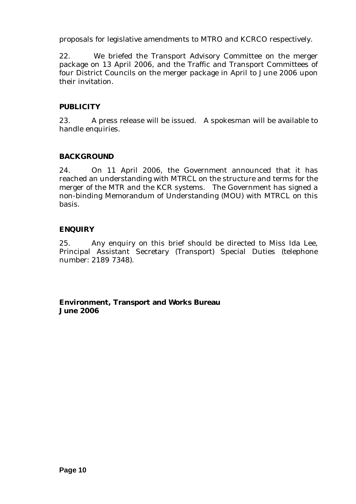proposals for legislative amendments to MTRO and KCRCO respectively.

22. We briefed the Transport Advisory Committee on the merger package on 13 April 2006, and the Traffic and Transport Committees of four District Councils on the merger package in April to June 2006 upon their invitation.

# **PUBLICITY**

23. A press release will be issued. A spokesman will be available to handle enquiries.

# **BACKGROUND**

24. On 11 April 2006, the Government announced that it has reached an understanding with MTRCL on the structure and terms for the merger of the MTR and the KCR systems. The Government has signed a non-binding Memorandum of Understanding (MOU) with MTRCL on this basis.

# **ENQUIRY**

25. Any enquiry on this brief should be directed to Miss Ida Lee, Principal Assistant Secretary (Transport) Special Duties (telephone number: 2189 7348).

**Environment, Transport and Works Bureau June 2006**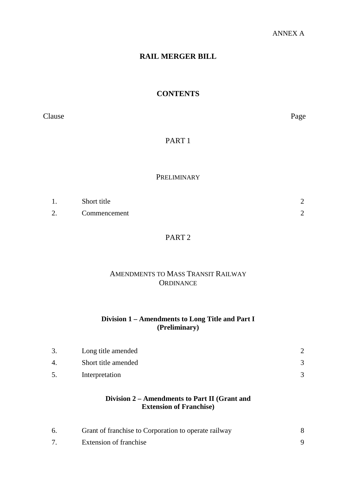# **RAIL MERGER BILL**

# **CONTENTS**

Clause Page

PART 1

# PRELIMINARY

| -1. | Short title  |  |
|-----|--------------|--|
|     | Commencement |  |

# PART 2

# AMENDMENTS TO MASS TRANSIT RAILWAY **ORDINANCE**

# **Division 1 – Amendments to Long Title and Part I (Preliminary)**

| 3. | Long title amended  |  |
|----|---------------------|--|
| 4. | Short title amended |  |
| 5. | Interpretation      |  |

# **Division 2 – Amendments to Part II (Grant and Extension of Franchise)**

| Grant of franchise to Corporation to operate railway |  |
|------------------------------------------------------|--|
| Extension of franchise                               |  |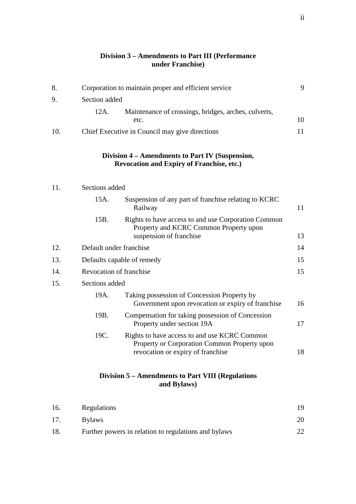#### **Division 3 – Amendments to Part III (Performance under Franchise)**

| 8.  |                         | Corporation to maintain proper and efficient service                                                                              | 9  |
|-----|-------------------------|-----------------------------------------------------------------------------------------------------------------------------------|----|
| 9.  | Section added           |                                                                                                                                   |    |
|     | 12A.                    | Maintenance of crossings, bridges, arches, culverts,<br>etc.                                                                      | 10 |
| 10. |                         | Chief Executive in Council may give directions                                                                                    | 11 |
|     |                         | Division 4 – Amendments to Part IV (Suspension,<br><b>Revocation and Expiry of Franchise, etc.)</b>                               |    |
| 11. | Sections added          |                                                                                                                                   |    |
|     | 15A.                    | Suspension of any part of franchise relating to KCRC<br>Railway                                                                   | 11 |
|     | 15B.                    | Rights to have access to and use Corporation Common<br>Property and KCRC Common Property upon<br>suspension of franchise          | 13 |
| 12. | Default under franchise |                                                                                                                                   | 14 |
| 13. |                         | Defaults capable of remedy                                                                                                        | 15 |
| 14. | Revocation of franchise |                                                                                                                                   | 15 |
| 15. | Sections added          |                                                                                                                                   |    |
|     | 19A.                    | Taking possession of Concession Property by<br>Government upon revocation or expiry of franchise                                  | 16 |
|     | 19B.                    | Compensation for taking possession of Concession<br>Property under section 19A                                                    | 17 |
|     | 19C.                    | Rights to have access to and use KCRC Common<br>Property or Corporation Common Property upon<br>revocation or expiry of franchise | 18 |
|     |                         | Division 5 – Amendments to Part VIII (Regulations<br>and Bylaws)                                                                  |    |

| 16. | Regulations                                          |  |
|-----|------------------------------------------------------|--|
| 17. | <b>Bylaws</b>                                        |  |
| 18. | Further powers in relation to regulations and bylaws |  |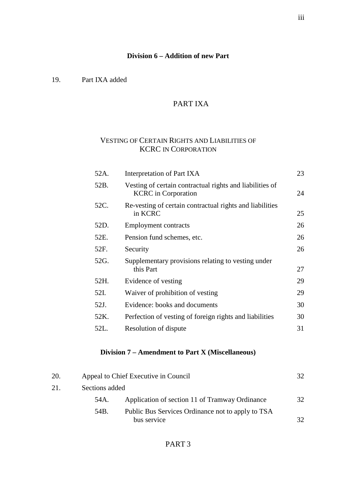#### **Division 6 – Addition of new Part**

19. Part IXA added

# PART IXA

# VESTING OF CERTAIN RIGHTS AND LIABILITIES OF KCRC IN CORPORATION

| 52A. | Interpretation of Part IXA                                                             | 23 |
|------|----------------------------------------------------------------------------------------|----|
| 52B. | Vesting of certain contractual rights and liabilities of<br><b>KCRC</b> in Corporation | 24 |
| 52C. | Re-vesting of certain contractual rights and liabilities<br>in KCRC                    | 25 |
| 52D. | <b>Employment contracts</b>                                                            | 26 |
| 52E. | Pension fund schemes, etc.                                                             | 26 |
| 52F. | Security                                                                               | 26 |
| 52G. | Supplementary provisions relating to vesting under<br>this Part                        | 27 |
| 52H. | Evidence of vesting                                                                    | 29 |
| 52I. | Waiver of prohibition of vesting                                                       | 29 |
| 52J. | Evidence: books and documents                                                          | 30 |
| 52K. | Perfection of vesting of foreign rights and liabilities                                | 30 |
| 52L. | Resolution of dispute                                                                  | 31 |

# **Division 7 – Amendment to Part X (Miscellaneous)**

| 20. | Appeal to Chief Executive in Council |                                                                  | 32 |
|-----|--------------------------------------|------------------------------------------------------------------|----|
| 21. | Sections added                       |                                                                  |    |
|     | 54A.                                 | Application of section 11 of Tramway Ordinance                   | 32 |
|     | 54B.                                 | Public Bus Services Ordinance not to apply to TSA<br>bus service |    |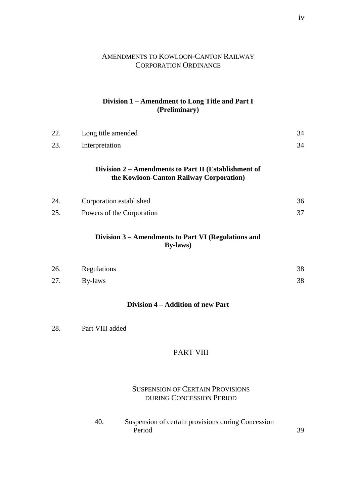# AMENDMENTS TO KOWLOON-CANTON RAILWAY CORPORATION ORDINANCE

# **Division 1 – Amendment to Long Title and Part I (Preliminary)**

| 22. | Long title amended                                                                              | 34 |
|-----|-------------------------------------------------------------------------------------------------|----|
| 23. | Interpretation                                                                                  | 34 |
|     | Division 2 – Amendments to Part II (Establishment of<br>the Kowloon-Canton Railway Corporation) |    |
| 24. | Corporation established                                                                         | 36 |
| 25. | Powers of the Corporation                                                                       | 37 |
|     | Division 3 - Amendments to Part VI (Regulations and<br>By-laws)                                 |    |
| 26. | Regulations                                                                                     | 38 |
| 27. | By-laws                                                                                         | 38 |
|     | Division 4 – Addition of new Part                                                               |    |
| 28. | Part VIII added                                                                                 |    |

# PART VIII

# SUSPENSION OF CERTAIN PROVISIONS DURING CONCESSION PERIOD

40. Suspension of certain provisions during Concession Period 39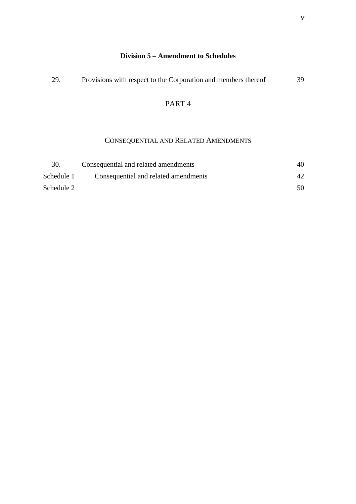| 29. | Provisions with respect to the Corporation and members thereof | 39 |
|-----|----------------------------------------------------------------|----|
|     |                                                                |    |

# PART 4

# CONSEQUENTIAL AND RELATED AMENDMENTS

| 30.        | Consequential and related amendments | 40  |
|------------|--------------------------------------|-----|
| Schedule 1 | Consequential and related amendments |     |
| Schedule 2 |                                      | 50. |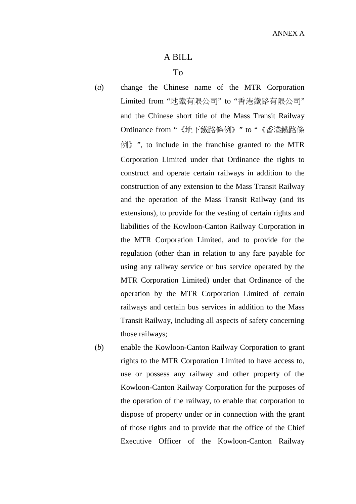# A BILL

#### To

- (*a*) change the Chinese name of the MTR Corporation Limited from "地鐵有限公司" to "香港鐵路有限公司" and the Chinese short title of the Mass Transit Railway Ordinance from "《地下鐵路條例》" to "《香港鐵路條 例》", to include in the franchise granted to the MTR Corporation Limited under that Ordinance the rights to construct and operate certain railways in addition to the construction of any extension to the Mass Transit Railway and the operation of the Mass Transit Railway (and its extensions), to provide for the vesting of certain rights and liabilities of the Kowloon-Canton Railway Corporation in the MTR Corporation Limited, and to provide for the regulation (other than in relation to any fare payable for using any railway service or bus service operated by the MTR Corporation Limited) under that Ordinance of the operation by the MTR Corporation Limited of certain railways and certain bus services in addition to the Mass Transit Railway, including all aspects of safety concerning those railways;
- (*b*) enable the Kowloon-Canton Railway Corporation to grant rights to the MTR Corporation Limited to have access to, use or possess any railway and other property of the Kowloon-Canton Railway Corporation for the purposes of the operation of the railway, to enable that corporation to dispose of property under or in connection with the grant of those rights and to provide that the office of the Chief Executive Officer of the Kowloon-Canton Railway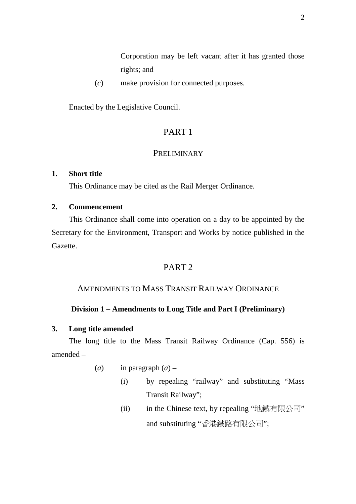Corporation may be left vacant after it has granted those rights; and

(*c*) make provision for connected purposes.

Enacted by the Legislative Council.

# PART 1

# **PRELIMINARY**

# **1. Short title**

This Ordinance may be cited as the Rail Merger Ordinance.

# **2. Commencement**

This Ordinance shall come into operation on a day to be appointed by the Secretary for the Environment, Transport and Works by notice published in the Gazette.

# PART 2

# AMENDMENTS TO MASS TRANSIT RAILWAY ORDINANCE

# **Division 1 – Amendments to Long Title and Part I (Preliminary)**

# **3. Long title amended**

The long title to the Mass Transit Railway Ordinance (Cap. 556) is amended –

- (*a*) in paragraph  $(a)$ 
	- (i) by repealing "railway" and substituting "Mass Transit Railway";
	- (ii) in the Chinese text, by repealing "地鐵有限公司" and substituting "香港鐵路有限公司";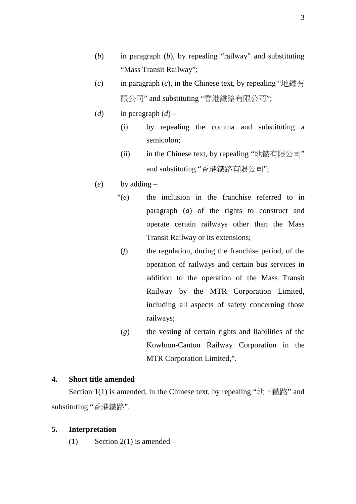- (*b*) in paragraph (*b*), by repealing "railway" and substituting "Mass Transit Railway";
- (*c*) in paragraph (*c*), in the Chinese text, by repealing "地鐵有 限公司" and substituting "香港鐵路有限公司";
- (*d*) in paragraph  $(d)$ 
	- (i) by repealing the comma and substituting a semicolon;
	- (ii) in the Chinese text, by repealing "地鐵有限公司" and substituting "香港鐵路有限公司";
- (*e*) by adding
	- "(*e*) the inclusion in the franchise referred to in paragraph (*a*) of the rights to construct and operate certain railways other than the Mass Transit Railway or its extensions;
		- (*f*) the regulation, during the franchise period, of the operation of railways and certain bus services in addition to the operation of the Mass Transit Railway by the MTR Corporation Limited, including all aspects of safety concerning those railways;
		- (*g*) the vesting of certain rights and liabilities of the Kowloon-Canton Railway Corporation in the MTR Corporation Limited,".

#### **4. Short title amended**

Section 1(1) is amended, in the Chinese text, by repealing "地下鐵路" and substituting "香港鐵路".

# **5. Interpretation**

(1) Section 2(1) is amended –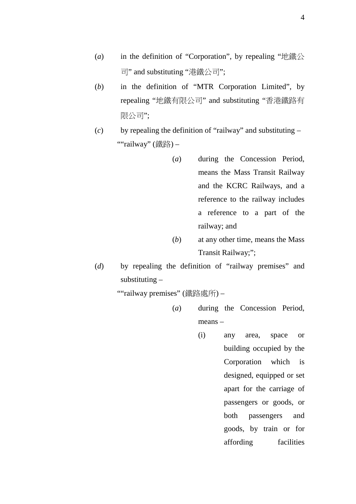- (*a*) in the definition of "Corporation", by repealing "地鐵公 司" and substituting "港鐵公司";
- (*b*) in the definition of "MTR Corporation Limited", by repealing "地鐵有限公司" and substituting "香港鐵路有 限公司";
- (*c*) by repealing the definition of "railway" and substituting ""railway" (鐵路) –
	- (*a*) during the Concession Period, means the Mass Transit Railway and the KCRC Railways, and a reference to the railway includes a reference to a part of the railway; and
	- (*b*) at any other time, means the Mass Transit Railway;";
- (*d*) by repealing the definition of "railway premises" and substituting –

""railway premises" (鐵路處所) –

- (*a*) during the Concession Period, means –
	- (i) any area, space or building occupied by the Corporation which is designed, equipped or set apart for the carriage of passengers or goods, or both passengers and goods, by train or for affording facilities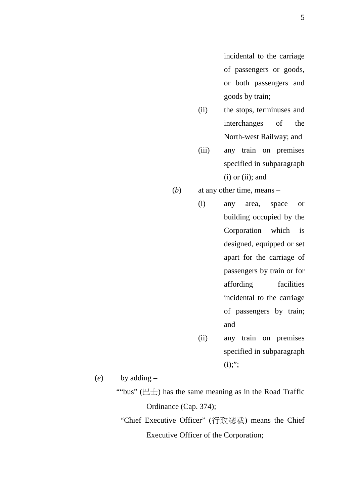incidental to the carriage of passengers or goods, or both passengers and goods by train;

- (ii) the stops, terminuses and interchanges of the North-west Railway; and
- (iii) any train on premises specified in subparagraph  $(i)$  or  $(ii)$ ; and
- (*b*) at any other time, means
	- (i) any area, space or building occupied by the Corporation which is designed, equipped or set apart for the carriage of passengers by train or for affording facilities incidental to the carriage of passengers by train; and
		- (ii) any train on premises specified in subparagraph  $(i);$ ";

(*e*) by adding –

""bus" ( $E \pm$ ) has the same meaning as in the Road Traffic Ordinance (Cap. 374);

"Chief Executive Officer" (行政總裁) means the Chief Executive Officer of the Corporation;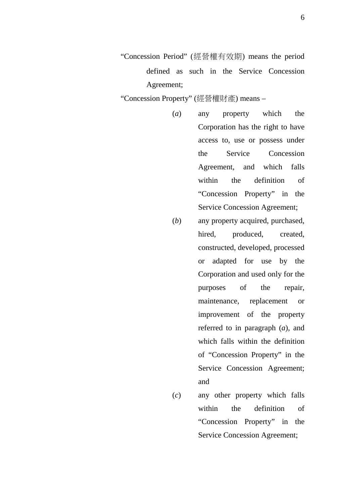"Concession Period" (經營權有效期) means the period defined as such in the Service Concession Agreement;

"Concession Property" (經營權財產) means –

- (*a*) any property which the Corporation has the right to have access to, use or possess under the Service Concession Agreement, and which falls within the definition of "Concession Property" in the Service Concession Agreement;
- (*b*) any property acquired, purchased, hired, produced, created, constructed, developed, processed or adapted for use by the Corporation and used only for the purposes of the repair, maintenance, replacement or improvement of the property referred to in paragraph (*a*), and which falls within the definition of "Concession Property" in the Service Concession Agreement; and
- (*c*) any other property which falls within the definition of "Concession Property" in the Service Concession Agreement;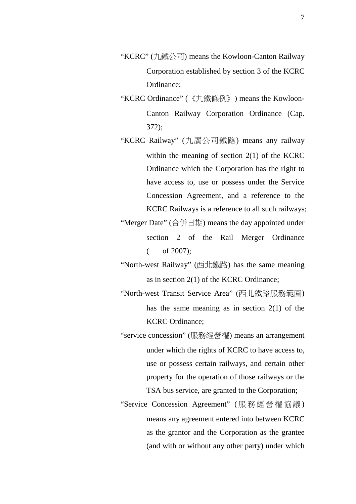- "KCRC" (九鐵公司) means the Kowloon-Canton Railway Corporation established by section 3 of the KCRC Ordinance;
- "KCRC Ordinance" (《九鐵條例》) means the Kowloon-Canton Railway Corporation Ordinance (Cap. 372);

"KCRC Railway" (九廣公司鐵路) means any railway within the meaning of section 2(1) of the KCRC Ordinance which the Corporation has the right to have access to, use or possess under the Service Concession Agreement, and a reference to the KCRC Railways is a reference to all such railways;

"Merger Date" (合併日期) means the day appointed under section 2 of the Rail Merger Ordinance  $($  of 2007);

"North-west Railway" (西北鐵路) has the same meaning as in section 2(1) of the KCRC Ordinance;

"North-west Transit Service Area" (西北鐵路服務範圍) has the same meaning as in section 2(1) of the KCRC Ordinance;

"service concession" (服務經營權) means an arrangement under which the rights of KCRC to have access to, use or possess certain railways, and certain other property for the operation of those railways or the TSA bus service, are granted to the Corporation;

"Service Concession Agreement" ( 服務經營權協議) means any agreement entered into between KCRC as the grantor and the Corporation as the grantee (and with or without any other party) under which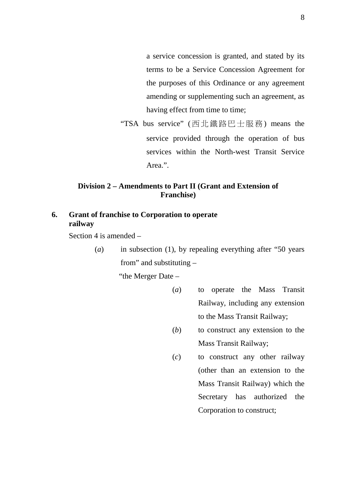a service concession is granted, and stated by its terms to be a Service Concession Agreement for the purposes of this Ordinance or any agreement amending or supplementing such an agreement, as having effect from time to time;

"TSA bus service" (西北鐵路巴士服務) means the service provided through the operation of bus services within the North-west Transit Service Area.".

# **Division 2 – Amendments to Part II (Grant and Extension of Franchise)**

# **6. Grant of franchise to Corporation to operate railway**

Section 4 is amended –

(*a*) in subsection (1), by repealing everything after "50 years from" and substituting –

"the Merger Date –

- (*a*) to operate the Mass Transit Railway, including any extension to the Mass Transit Railway;
- (*b*) to construct any extension to the Mass Transit Railway;
- (*c*) to construct any other railway (other than an extension to the Mass Transit Railway) which the Secretary has authorized the Corporation to construct;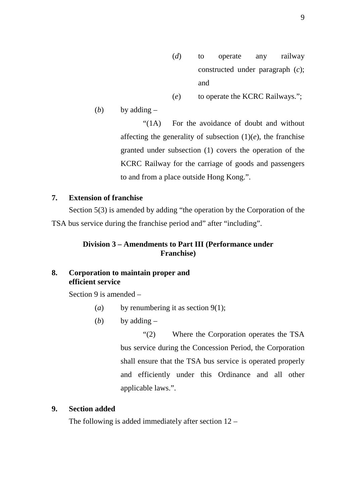- (*d*) to operate any railway constructed under paragraph (*c*); and
- (*e*) to operate the KCRC Railways.";

(*b*) by adding  $-$ 

"(1A) For the avoidance of doubt and without affecting the generality of subsection  $(1)(e)$ , the franchise granted under subsection (1) covers the operation of the KCRC Railway for the carriage of goods and passengers to and from a place outside Hong Kong.".

# **7. Extension of franchise**

Section 5(3) is amended by adding "the operation by the Corporation of the TSA bus service during the franchise period and" after "including".

# **Division 3 – Amendments to Part III (Performance under Franchise)**

# **8. Corporation to maintain proper and efficient service**

Section 9 is amended –

- (*a*) by renumbering it as section 9(1);
- (*b*) by adding  $-$

"(2) Where the Corporation operates the TSA bus service during the Concession Period, the Corporation shall ensure that the TSA bus service is operated properly and efficiently under this Ordinance and all other applicable laws.".

# **9. Section added**

The following is added immediately after section  $12 -$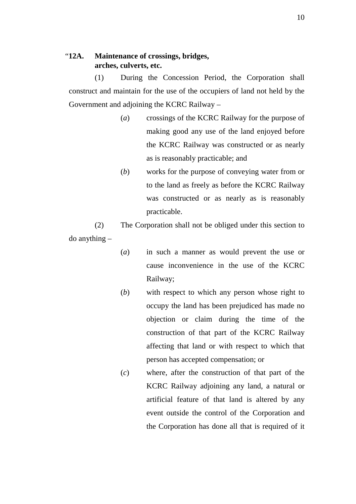# "**12A. Maintenance of crossings, bridges, arches, culverts, etc.**

(1) During the Concession Period, the Corporation shall construct and maintain for the use of the occupiers of land not held by the Government and adjoining the KCRC Railway –

- (*a*) crossings of the KCRC Railway for the purpose of making good any use of the land enjoyed before the KCRC Railway was constructed or as nearly as is reasonably practicable; and
- (*b*) works for the purpose of conveying water from or to the land as freely as before the KCRC Railway was constructed or as nearly as is reasonably practicable.

(2) The Corporation shall not be obliged under this section to do anything –

- (*a*) in such a manner as would prevent the use or cause inconvenience in the use of the KCRC Railway;
- (*b*) with respect to which any person whose right to occupy the land has been prejudiced has made no objection or claim during the time of the construction of that part of the KCRC Railway affecting that land or with respect to which that person has accepted compensation; or
- (*c*) where, after the construction of that part of the KCRC Railway adjoining any land, a natural or artificial feature of that land is altered by any event outside the control of the Corporation and the Corporation has done all that is required of it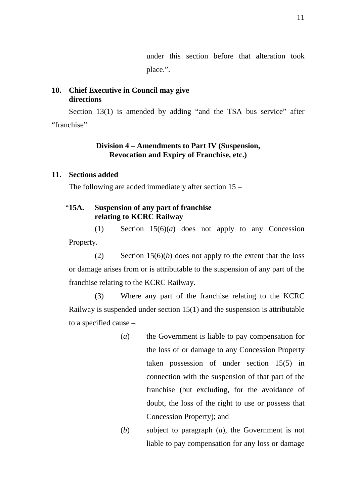under this section before that alteration took place.".

# **10. Chief Executive in Council may give directions**

Section 13(1) is amended by adding "and the TSA bus service" after "franchise".

# **Division 4 – Amendments to Part IV (Suspension, Revocation and Expiry of Franchise, etc.)**

# **11. Sections added**

The following are added immediately after section 15 –

# "**15A. Suspension of any part of franchise relating to KCRC Railway**

(1) Section 15(6)(*a*) does not apply to any Concession Property.

(2) Section 15(6)(*b*) does not apply to the extent that the loss or damage arises from or is attributable to the suspension of any part of the franchise relating to the KCRC Railway.

(3) Where any part of the franchise relating to the KCRC Railway is suspended under section 15(1) and the suspension is attributable to a specified cause –

- (*a*) the Government is liable to pay compensation for the loss of or damage to any Concession Property taken possession of under section 15(5) in connection with the suspension of that part of the franchise (but excluding, for the avoidance of doubt, the loss of the right to use or possess that Concession Property); and
- (*b*) subject to paragraph (*a*), the Government is not liable to pay compensation for any loss or damage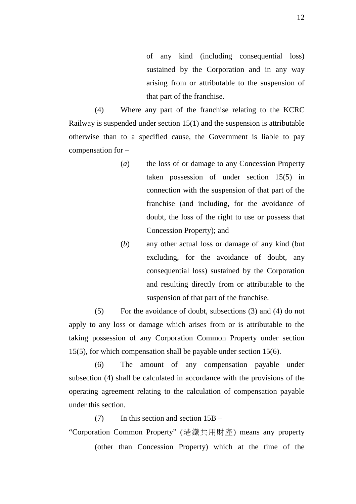of any kind (including consequential loss) sustained by the Corporation and in any way arising from or attributable to the suspension of that part of the franchise.

(4) Where any part of the franchise relating to the KCRC Railway is suspended under section 15(1) and the suspension is attributable otherwise than to a specified cause, the Government is liable to pay compensation for –

- (*a*) the loss of or damage to any Concession Property taken possession of under section 15(5) in connection with the suspension of that part of the franchise (and including, for the avoidance of doubt, the loss of the right to use or possess that Concession Property); and
- (*b*) any other actual loss or damage of any kind (but excluding, for the avoidance of doubt, any consequential loss) sustained by the Corporation and resulting directly from or attributable to the suspension of that part of the franchise.

(5) For the avoidance of doubt, subsections (3) and (4) do not apply to any loss or damage which arises from or is attributable to the taking possession of any Corporation Common Property under section 15(5), for which compensation shall be payable under section 15(6).

(6) The amount of any compensation payable under subsection (4) shall be calculated in accordance with the provisions of the operating agreement relating to the calculation of compensation payable under this section.

 $(7)$  In this section and section  $15B -$ 

"Corporation Common Property" (港鐵共用財產) means any property (other than Concession Property) which at the time of the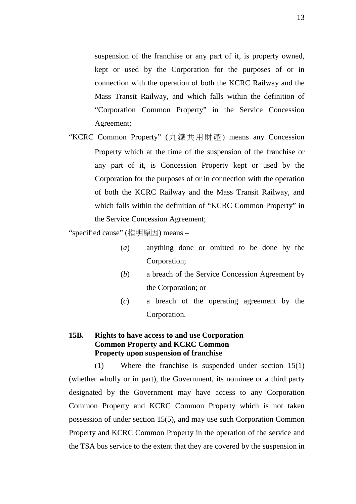suspension of the franchise or any part of it, is property owned, kept or used by the Corporation for the purposes of or in connection with the operation of both the KCRC Railway and the Mass Transit Railway, and which falls within the definition of "Corporation Common Property" in the Service Concession Agreement;

"KCRC Common Property" (九鐵共用財產) means any Concession Property which at the time of the suspension of the franchise or any part of it, is Concession Property kept or used by the Corporation for the purposes of or in connection with the operation of both the KCRC Railway and the Mass Transit Railway, and which falls within the definition of "KCRC Common Property" in the Service Concession Agreement;

"specified cause" (指明原因) means –

- (*a*) anything done or omitted to be done by the Corporation;
- (*b*) a breach of the Service Concession Agreement by the Corporation; or
- (*c*) a breach of the operating agreement by the Corporation.

# **15B. Rights to have access to and use Corporation Common Property and KCRC Common Property upon suspension of franchise**

(1) Where the franchise is suspended under section 15(1) (whether wholly or in part), the Government, its nominee or a third party designated by the Government may have access to any Corporation Common Property and KCRC Common Property which is not taken possession of under section 15(5), and may use such Corporation Common Property and KCRC Common Property in the operation of the service and the TSA bus service to the extent that they are covered by the suspension in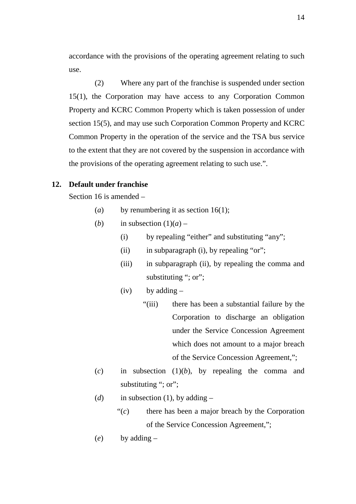accordance with the provisions of the operating agreement relating to such use.

(2) Where any part of the franchise is suspended under section 15(1), the Corporation may have access to any Corporation Common Property and KCRC Common Property which is taken possession of under section 15(5), and may use such Corporation Common Property and KCRC Common Property in the operation of the service and the TSA bus service to the extent that they are not covered by the suspension in accordance with the provisions of the operating agreement relating to such use.".

# **12. Default under franchise**

Section 16 is amended –

- (*a*) by renumbering it as section 16(1);
- (*b*) in subsection  $(1)(a)$ 
	- (i) by repealing "either" and substituting "any";
	- (ii) in subparagraph (i), by repealing "or";
	- (iii) in subparagraph (ii), by repealing the comma and substituting "; or";
	- $(iv)$  by adding  $-$ 
		- "(iii) there has been a substantial failure by the Corporation to discharge an obligation under the Service Concession Agreement which does not amount to a major breach of the Service Concession Agreement,";
- (*c*) in subsection (1)(*b*), by repealing the comma and substituting "; or";
- (*d*) in subsection (1), by adding  $-$ 
	- "(*c*) there has been a major breach by the Corporation of the Service Concession Agreement,";
- (*e*) by adding –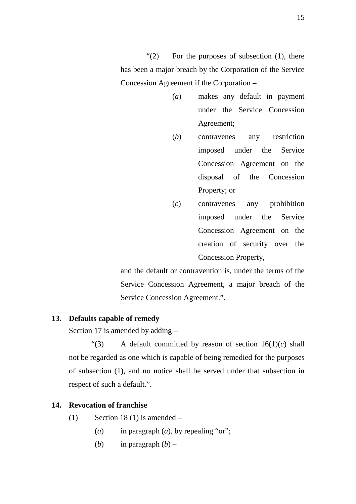" $(2)$  For the purposes of subsection  $(1)$ , there has been a major breach by the Corporation of the Service Concession Agreement if the Corporation –

- (*a*) makes any default in payment under the Service Concession Agreement;
- (*b*) contravenes any restriction imposed under the Service Concession Agreement on the disposal of the Concession Property; or
- (*c*) contravenes any prohibition imposed under the Service Concession Agreement on the creation of security over the Concession Property,

and the default or contravention is, under the terms of the Service Concession Agreement, a major breach of the Service Concession Agreement.".

# **13. Defaults capable of remedy**

Section 17 is amended by adding –

"(3) A default committed by reason of section 16(1)(*c*) shall not be regarded as one which is capable of being remedied for the purposes of subsection (1), and no notice shall be served under that subsection in respect of such a default.".

# **14. Revocation of franchise**

- (1) Section 18 (1) is amended  $-$ 
	- (*a*) in paragraph (*a*), by repealing "or";
	- (*b*) in paragraph  $(b)$  –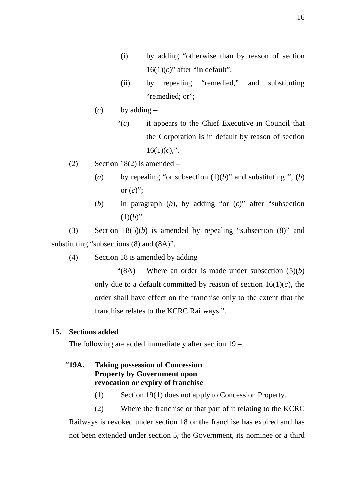- (i) by adding "otherwise than by reason of section  $16(1)(c)$ " after "in default";
- (ii) by repealing "remedied," and substituting "remedied; or";
- (*c*) by adding
	- "(*c*) it appears to the Chief Executive in Council that the Corporation is in default by reason of section  $16(1)(c)$ ,".
- (2) Section 18(2) is amended  $-$ 
	- (*a*) by repealing "or subsection  $(1)(b)$ " and substituting ", (*b*) or  $(c)$ ";
	- (*b*) in paragraph (*b*), by adding "or (*c*)" after "subsection  $(1)(b)$ ".

(3) Section 18(5)(*b*) is amended by repealing "subsection (8)" and substituting "subsections (8) and (8A)".

(4) Section 18 is amended by adding –

"(8A) Where an order is made under subsection (5)(*b*) only due to a default committed by reason of section  $16(1)(c)$ , the order shall have effect on the franchise only to the extent that the franchise relates to the KCRC Railways.".

# **15. Sections added**

The following are added immediately after section 19 –

# "**19A. Taking possession of Concession Property by Government upon revocation or expiry of franchise**

(1) Section 19(1) does not apply to Concession Property.

(2) Where the franchise or that part of it relating to the KCRC Railways is revoked under section 18 or the franchise has expired and has not been extended under section 5, the Government, its nominee or a third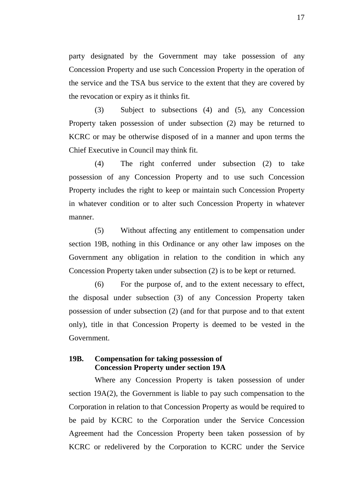party designated by the Government may take possession of any Concession Property and use such Concession Property in the operation of the service and the TSA bus service to the extent that they are covered by the revocation or expiry as it thinks fit.

(3) Subject to subsections (4) and (5), any Concession Property taken possession of under subsection (2) may be returned to KCRC or may be otherwise disposed of in a manner and upon terms the Chief Executive in Council may think fit.

(4) The right conferred under subsection (2) to take possession of any Concession Property and to use such Concession Property includes the right to keep or maintain such Concession Property in whatever condition or to alter such Concession Property in whatever manner.

(5) Without affecting any entitlement to compensation under section 19B, nothing in this Ordinance or any other law imposes on the Government any obligation in relation to the condition in which any Concession Property taken under subsection (2) is to be kept or returned.

(6) For the purpose of, and to the extent necessary to effect, the disposal under subsection (3) of any Concession Property taken possession of under subsection (2) (and for that purpose and to that extent only), title in that Concession Property is deemed to be vested in the Government.

# **19B. Compensation for taking possession of Concession Property under section 19A**

Where any Concession Property is taken possession of under section 19A(2), the Government is liable to pay such compensation to the Corporation in relation to that Concession Property as would be required to be paid by KCRC to the Corporation under the Service Concession Agreement had the Concession Property been taken possession of by KCRC or redelivered by the Corporation to KCRC under the Service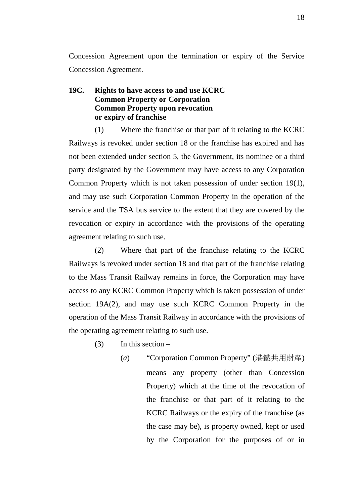Concession Agreement upon the termination or expiry of the Service Concession Agreement.

# **19C. Rights to have access to and use KCRC Common Property or Corporation Common Property upon revocation or expiry of franchise**

(1) Where the franchise or that part of it relating to the KCRC Railways is revoked under section 18 or the franchise has expired and has not been extended under section 5, the Government, its nominee or a third party designated by the Government may have access to any Corporation Common Property which is not taken possession of under section 19(1), and may use such Corporation Common Property in the operation of the service and the TSA bus service to the extent that they are covered by the revocation or expiry in accordance with the provisions of the operating agreement relating to such use.

(2) Where that part of the franchise relating to the KCRC Railways is revoked under section 18 and that part of the franchise relating to the Mass Transit Railway remains in force, the Corporation may have access to any KCRC Common Property which is taken possession of under section 19A(2), and may use such KCRC Common Property in the operation of the Mass Transit Railway in accordance with the provisions of the operating agreement relating to such use.

- $(3)$  In this section
	- (*a*) "Corporation Common Property" (港鐵共用財產) means any property (other than Concession Property) which at the time of the revocation of the franchise or that part of it relating to the KCRC Railways or the expiry of the franchise (as the case may be), is property owned, kept or used by the Corporation for the purposes of or in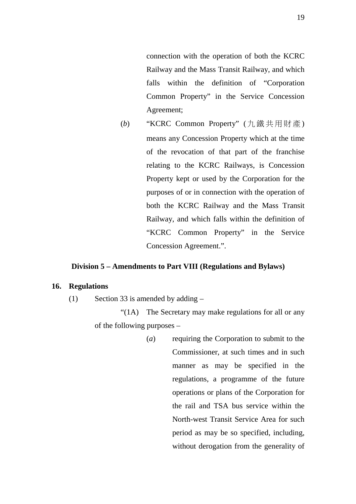connection with the operation of both the KCRC Railway and the Mass Transit Railway, and which falls within the definition of "Corporation Common Property" in the Service Concession Agreement;

(*b*) "KCRC Common Property" (九鐵共用財產 ) means any Concession Property which at the time of the revocation of that part of the franchise relating to the KCRC Railways, is Concession Property kept or used by the Corporation for the purposes of or in connection with the operation of both the KCRC Railway and the Mass Transit Railway, and which falls within the definition of "KCRC Common Property" in the Service Concession Agreement.".

#### **Division 5 – Amendments to Part VIII (Regulations and Bylaws)**

# **16. Regulations**

(1) Section 33 is amended by adding –

"(1A) The Secretary may make regulations for all or any of the following purposes –

> (*a*) requiring the Corporation to submit to the Commissioner, at such times and in such manner as may be specified in the regulations, a programme of the future operations or plans of the Corporation for the rail and TSA bus service within the North-west Transit Service Area for such period as may be so specified, including, without derogation from the generality of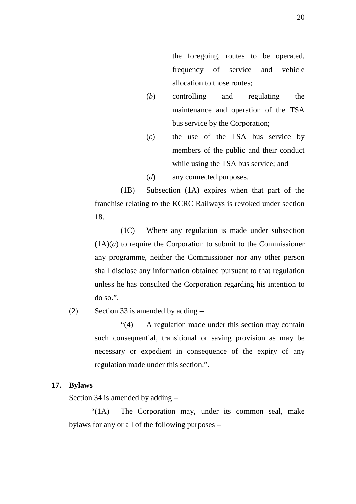the foregoing, routes to be operated, frequency of service and vehicle allocation to those routes;

- (*b*) controlling and regulating the maintenance and operation of the TSA bus service by the Corporation;
- (*c*) the use of the TSA bus service by members of the public and their conduct while using the TSA bus service; and
- (*d*) any connected purposes.

(1B) Subsection (1A) expires when that part of the franchise relating to the KCRC Railways is revoked under section 18.

(1C) Where any regulation is made under subsection  $(1A)(a)$  to require the Corporation to submit to the Commissioner any programme, neither the Commissioner nor any other person shall disclose any information obtained pursuant to that regulation unless he has consulted the Corporation regarding his intention to do so.".

(2) Section 33 is amended by adding  $-$ 

"(4) A regulation made under this section may contain such consequential, transitional or saving provision as may be necessary or expedient in consequence of the expiry of any regulation made under this section.".

#### **17. Bylaws**

Section 34 is amended by adding –

"(1A) The Corporation may, under its common seal, make bylaws for any or all of the following purposes –

20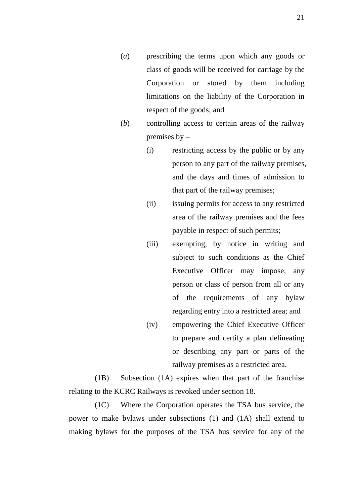- (*a*) prescribing the terms upon which any goods or class of goods will be received for carriage by the Corporation or stored by them including limitations on the liability of the Corporation in respect of the goods; and
- (*b*) controlling access to certain areas of the railway premises by –
	- (i) restricting access by the public or by any person to any part of the railway premises, and the days and times of admission to that part of the railway premises;
	- (ii) issuing permits for access to any restricted area of the railway premises and the fees payable in respect of such permits;
	- (iii) exempting, by notice in writing and subject to such conditions as the Chief Executive Officer may impose, any person or class of person from all or any of the requirements of any bylaw regarding entry into a restricted area; and
	- (iv) empowering the Chief Executive Officer to prepare and certify a plan delineating or describing any part or parts of the railway premises as a restricted area.

(1B) Subsection (1A) expires when that part of the franchise relating to the KCRC Railways is revoked under section 18.

(1C) Where the Corporation operates the TSA bus service, the power to make bylaws under subsections (1) and (1A) shall extend to making bylaws for the purposes of the TSA bus service for any of the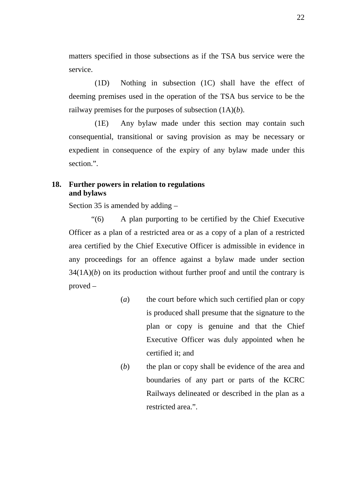matters specified in those subsections as if the TSA bus service were the service.

(1D) Nothing in subsection (1C) shall have the effect of deeming premises used in the operation of the TSA bus service to be the railway premises for the purposes of subsection (1A)(*b*).

(1E) Any bylaw made under this section may contain such consequential, transitional or saving provision as may be necessary or expedient in consequence of the expiry of any bylaw made under this section.".

## **18. Further powers in relation to regulations and bylaws**

Section 35 is amended by adding –

"(6) A plan purporting to be certified by the Chief Executive Officer as a plan of a restricted area or as a copy of a plan of a restricted area certified by the Chief Executive Officer is admissible in evidence in any proceedings for an offence against a bylaw made under section  $34(1A)(b)$  on its production without further proof and until the contrary is proved –

- (*a*) the court before which such certified plan or copy is produced shall presume that the signature to the plan or copy is genuine and that the Chief Executive Officer was duly appointed when he certified it; and
- (*b*) the plan or copy shall be evidence of the area and boundaries of any part or parts of the KCRC Railways delineated or described in the plan as a restricted area.".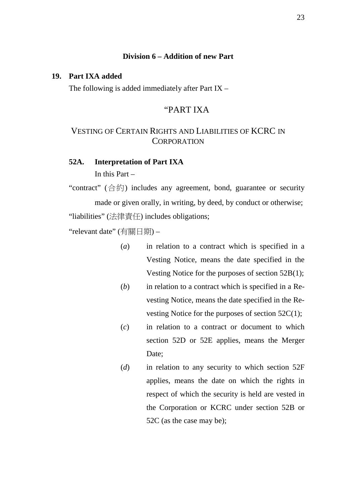### **Division 6 – Addition of new Part**

#### **19. Part IXA added**

The following is added immediately after Part IX –

## "PART IXA

## VESTING OF CERTAIN RIGHTS AND LIABILITIES OF KCRC IN **CORPORATION**

# **52A. Interpretation of Part IXA**

In this Part –

"contract"  $(\triangle \&)$  includes any agreement, bond, guarantee or security made or given orally, in writing, by deed, by conduct or otherwise; "liabilities" (法律責任) includes obligations;

"relevant date" (有關日期) –

- (*a*) in relation to a contract which is specified in a Vesting Notice, means the date specified in the Vesting Notice for the purposes of section 52B(1);
- (*b*) in relation to a contract which is specified in a Revesting Notice, means the date specified in the Revesting Notice for the purposes of section 52C(1);
- (*c*) in relation to a contract or document to which section 52D or 52E applies, means the Merger Date:
- (*d*) in relation to any security to which section 52F applies, means the date on which the rights in respect of which the security is held are vested in the Corporation or KCRC under section 52B or 52C (as the case may be);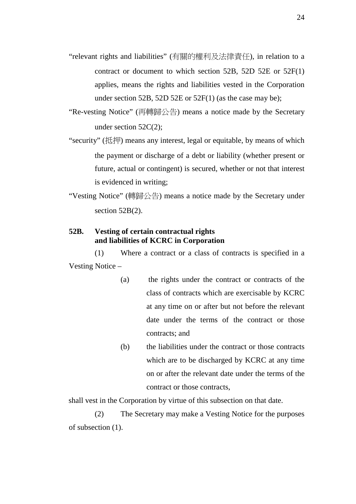- "relevant rights and liabilities" (有關的權利及法律責任), in relation to a contract or document to which section 52B, 52D 52E or 52F(1) applies, means the rights and liabilities vested in the Corporation under section 52B, 52D 52E or 52F(1) (as the case may be);
- "Re-vesting Notice" (再轉歸公告) means a notice made by the Secretary under section 52C(2);
- "security" (抵押) means any interest, legal or equitable, by means of which the payment or discharge of a debt or liability (whether present or future, actual or contingent) is secured, whether or not that interest is evidenced in writing;
- "Vesting Notice" (轉歸公告) means a notice made by the Secretary under section 52B(2).

## **52B. Vesting of certain contractual rights and liabilities of KCRC in Corporation**

(1) Where a contract or a class of contracts is specified in a Vesting Notice –

- (a) the rights under the contract or contracts of the class of contracts which are exercisable by KCRC at any time on or after but not before the relevant date under the terms of the contract or those contracts; and
- (b) the liabilities under the contract or those contracts which are to be discharged by KCRC at any time on or after the relevant date under the terms of the contract or those contracts,

shall vest in the Corporation by virtue of this subsection on that date.

(2) The Secretary may make a Vesting Notice for the purposes of subsection (1).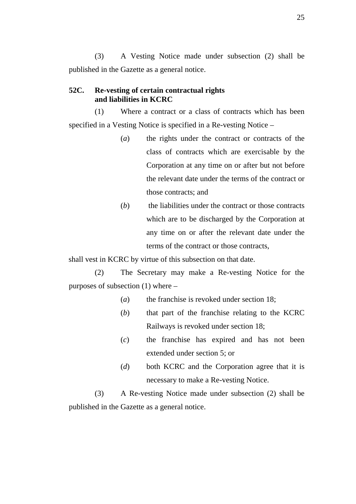(3) A Vesting Notice made under subsection (2) shall be published in the Gazette as a general notice.

### **52C. Re-vesting of certain contractual rights and liabilities in KCRC**

(1) Where a contract or a class of contracts which has been specified in a Vesting Notice is specified in a Re-vesting Notice –

- (*a*) the rights under the contract or contracts of the class of contracts which are exercisable by the Corporation at any time on or after but not before the relevant date under the terms of the contract or those contracts; and
- (*b*) the liabilities under the contract or those contracts which are to be discharged by the Corporation at any time on or after the relevant date under the terms of the contract or those contracts,

shall vest in KCRC by virtue of this subsection on that date.

(2) The Secretary may make a Re-vesting Notice for the purposes of subsection (1) where –

- (*a*) the franchise is revoked under section 18;
- (*b*) that part of the franchise relating to the KCRC Railways is revoked under section 18;
- (*c*) the franchise has expired and has not been extended under section 5; or
- (*d*) both KCRC and the Corporation agree that it is necessary to make a Re-vesting Notice.

(3) A Re-vesting Notice made under subsection (2) shall be published in the Gazette as a general notice.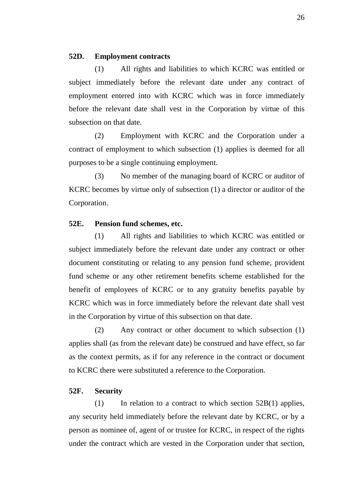#### **52D. Employment contracts**

(1) All rights and liabilities to which KCRC was entitled or subject immediately before the relevant date under any contract of employment entered into with KCRC which was in force immediately before the relevant date shall vest in the Corporation by virtue of this subsection on that date.

(2) Employment with KCRC and the Corporation under a contract of employment to which subsection (1) applies is deemed for all purposes to be a single continuing employment.

(3) No member of the managing board of KCRC or auditor of KCRC becomes by virtue only of subsection (1) a director or auditor of the Corporation.

#### **52E. Pension fund schemes, etc.**

(1) All rights and liabilities to which KCRC was entitled or subject immediately before the relevant date under any contract or other document constituting or relating to any pension fund scheme, provident fund scheme or any other retirement benefits scheme established for the benefit of employees of KCRC or to any gratuity benefits payable by KCRC which was in force immediately before the relevant date shall vest in the Corporation by virtue of this subsection on that date.

(2) Any contract or other document to which subsection (1) applies shall (as from the relevant date) be construed and have effect, so far as the context permits, as if for any reference in the contract or document to KCRC there were substituted a reference to the Corporation.

### **52F. Security**

(1) In relation to a contract to which section  $52B(1)$  applies, any security held immediately before the relevant date by KCRC, or by a person as nominee of, agent of or trustee for KCRC, in respect of the rights under the contract which are vested in the Corporation under that section,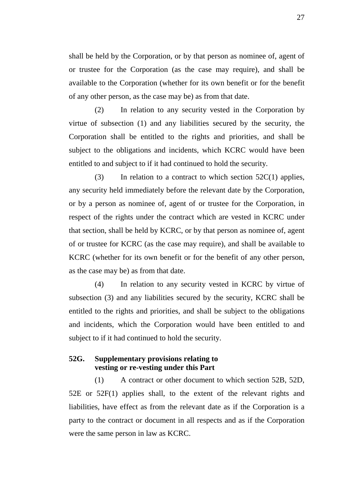shall be held by the Corporation, or by that person as nominee of, agent of or trustee for the Corporation (as the case may require), and shall be available to the Corporation (whether for its own benefit or for the benefit of any other person, as the case may be) as from that date.

(2) In relation to any security vested in the Corporation by virtue of subsection (1) and any liabilities secured by the security, the Corporation shall be entitled to the rights and priorities, and shall be subject to the obligations and incidents, which KCRC would have been entitled to and subject to if it had continued to hold the security.

(3) In relation to a contract to which section  $52C(1)$  applies, any security held immediately before the relevant date by the Corporation, or by a person as nominee of, agent of or trustee for the Corporation, in respect of the rights under the contract which are vested in KCRC under that section, shall be held by KCRC, or by that person as nominee of, agent of or trustee for KCRC (as the case may require), and shall be available to KCRC (whether for its own benefit or for the benefit of any other person, as the case may be) as from that date.

(4) In relation to any security vested in KCRC by virtue of subsection (3) and any liabilities secured by the security, KCRC shall be entitled to the rights and priorities, and shall be subject to the obligations and incidents, which the Corporation would have been entitled to and subject to if it had continued to hold the security.

## **52G. Supplementary provisions relating to vesting or re-vesting under this Part**

(1) A contract or other document to which section 52B, 52D, 52E or 52F(1) applies shall, to the extent of the relevant rights and liabilities, have effect as from the relevant date as if the Corporation is a party to the contract or document in all respects and as if the Corporation were the same person in law as KCRC.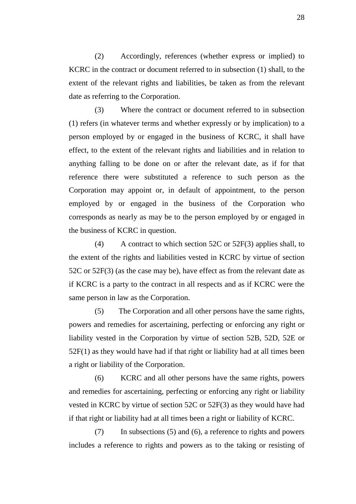(2) Accordingly, references (whether express or implied) to KCRC in the contract or document referred to in subsection (1) shall, to the extent of the relevant rights and liabilities, be taken as from the relevant date as referring to the Corporation.

(3) Where the contract or document referred to in subsection (1) refers (in whatever terms and whether expressly or by implication) to a person employed by or engaged in the business of KCRC, it shall have effect, to the extent of the relevant rights and liabilities and in relation to anything falling to be done on or after the relevant date, as if for that reference there were substituted a reference to such person as the Corporation may appoint or, in default of appointment, to the person employed by or engaged in the business of the Corporation who corresponds as nearly as may be to the person employed by or engaged in the business of KCRC in question.

(4) A contract to which section 52C or 52F(3) applies shall, to the extent of the rights and liabilities vested in KCRC by virtue of section 52C or 52F(3) (as the case may be), have effect as from the relevant date as if KCRC is a party to the contract in all respects and as if KCRC were the same person in law as the Corporation.

(5) The Corporation and all other persons have the same rights, powers and remedies for ascertaining, perfecting or enforcing any right or liability vested in the Corporation by virtue of section 52B, 52D, 52E or 52F(1) as they would have had if that right or liability had at all times been a right or liability of the Corporation.

(6) KCRC and all other persons have the same rights, powers and remedies for ascertaining, perfecting or enforcing any right or liability vested in KCRC by virtue of section 52C or 52F(3) as they would have had if that right or liability had at all times been a right or liability of KCRC.

(7) In subsections (5) and (6), a reference to rights and powers includes a reference to rights and powers as to the taking or resisting of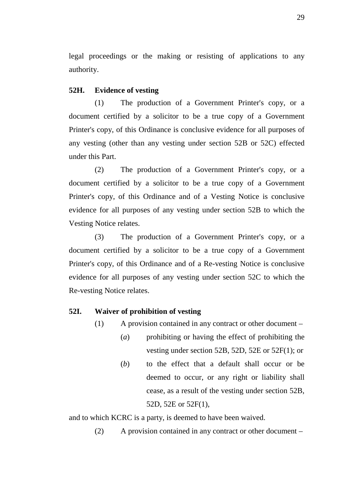legal proceedings or the making or resisting of applications to any authority.

#### **52H. Evidence of vesting**

(1) The production of a Government Printer's copy, or a document certified by a solicitor to be a true copy of a Government Printer's copy, of this Ordinance is conclusive evidence for all purposes of any vesting (other than any vesting under section 52B or 52C) effected under this Part.

(2) The production of a Government Printer's copy, or a document certified by a solicitor to be a true copy of a Government Printer's copy, of this Ordinance and of a Vesting Notice is conclusive evidence for all purposes of any vesting under section 52B to which the Vesting Notice relates.

(3) The production of a Government Printer's copy, or a document certified by a solicitor to be a true copy of a Government Printer's copy, of this Ordinance and of a Re-vesting Notice is conclusive evidence for all purposes of any vesting under section 52C to which the Re-vesting Notice relates.

#### **52I. Waiver of prohibition of vesting**

- (1) A provision contained in any contract or other document
	- (*a*) prohibiting or having the effect of prohibiting the vesting under section 52B, 52D, 52E or 52F(1); or
	- (*b*) to the effect that a default shall occur or be deemed to occur, or any right or liability shall cease, as a result of the vesting under section 52B, 52D, 52E or 52F(1),

and to which KCRC is a party, is deemed to have been waived.

(2) A provision contained in any contract or other document –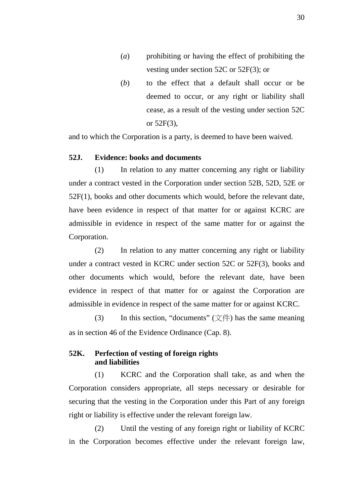- (*a*) prohibiting or having the effect of prohibiting the vesting under section 52C or 52F(3); or
- (*b*) to the effect that a default shall occur or be deemed to occur, or any right or liability shall cease, as a result of the vesting under section 52C or 52F(3),

and to which the Corporation is a party, is deemed to have been waived.

#### **52J. Evidence: books and documents**

(1) In relation to any matter concerning any right or liability under a contract vested in the Corporation under section 52B, 52D, 52E or 52F(1), books and other documents which would, before the relevant date, have been evidence in respect of that matter for or against KCRC are admissible in evidence in respect of the same matter for or against the Corporation.

(2) In relation to any matter concerning any right or liability under a contract vested in KCRC under section 52C or 52F(3), books and other documents which would, before the relevant date, have been evidence in respect of that matter for or against the Corporation are admissible in evidence in respect of the same matter for or against KCRC.

(3) In this section, "documents"  $(\vec{\chi} \#)$  has the same meaning as in section 46 of the Evidence Ordinance (Cap. 8).

## **52K. Perfection of vesting of foreign rights and liabilities**

(1) KCRC and the Corporation shall take, as and when the Corporation considers appropriate, all steps necessary or desirable for securing that the vesting in the Corporation under this Part of any foreign right or liability is effective under the relevant foreign law.

(2) Until the vesting of any foreign right or liability of KCRC in the Corporation becomes effective under the relevant foreign law,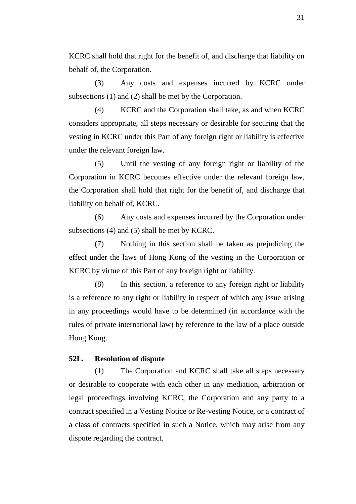KCRC shall hold that right for the benefit of, and discharge that liability on behalf of, the Corporation.

(3) Any costs and expenses incurred by KCRC under subsections (1) and (2) shall be met by the Corporation.

(4) KCRC and the Corporation shall take, as and when KCRC considers appropriate, all steps necessary or desirable for securing that the vesting in KCRC under this Part of any foreign right or liability is effective under the relevant foreign law.

(5) Until the vesting of any foreign right or liability of the Corporation in KCRC becomes effective under the relevant foreign law, the Corporation shall hold that right for the benefit of, and discharge that liability on behalf of, KCRC.

(6) Any costs and expenses incurred by the Corporation under subsections (4) and (5) shall be met by KCRC.

(7) Nothing in this section shall be taken as prejudicing the effect under the laws of Hong Kong of the vesting in the Corporation or KCRC by virtue of this Part of any foreign right or liability.

(8) In this section, a reference to any foreign right or liability is a reference to any right or liability in respect of which any issue arising in any proceedings would have to be determined (in accordance with the rules of private international law) by reference to the law of a place outside Hong Kong.

#### **52L. Resolution of dispute**

(1) The Corporation and KCRC shall take all steps necessary or desirable to cooperate with each other in any mediation, arbitration or legal proceedings involving KCRC, the Corporation and any party to a contract specified in a Vesting Notice or Re-vesting Notice, or a contract of a class of contracts specified in such a Notice, which may arise from any dispute regarding the contract.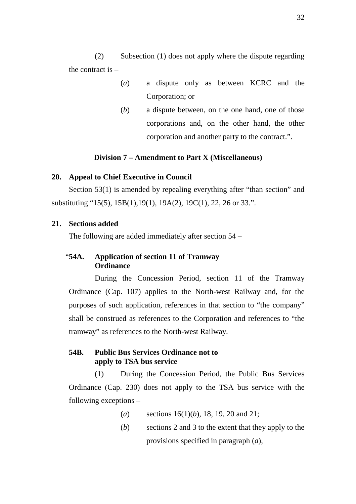(2) Subsection (1) does not apply where the dispute regarding the contract is  $-$ 

- (*a*) a dispute only as between KCRC and the Corporation; or
- (*b*) a dispute between, on the one hand, one of those corporations and, on the other hand, the other corporation and another party to the contract.".

#### **Division 7 – Amendment to Part X (Miscellaneous)**

#### **20. Appeal to Chief Executive in Council**

Section 53(1) is amended by repealing everything after "than section" and substituting "15(5), 15B(1),19(1), 19A(2), 19C(1), 22, 26 or 33.".

#### **21. Sections added**

The following are added immediately after section 54 –

## "**54A. Application of section 11 of Tramway Ordinance**

During the Concession Period, section 11 of the Tramway Ordinance (Cap. 107) applies to the North-west Railway and, for the purposes of such application, references in that section to "the company" shall be construed as references to the Corporation and references to "the tramway" as references to the North-west Railway.

## **54B. Public Bus Services Ordinance not to apply to TSA bus service**

(1) During the Concession Period, the Public Bus Services Ordinance (Cap. 230) does not apply to the TSA bus service with the following exceptions –

- (*a*) sections 16(1)(*b*), 18, 19, 20 and 21;
- (*b*) sections 2 and 3 to the extent that they apply to the provisions specified in paragraph (*a*),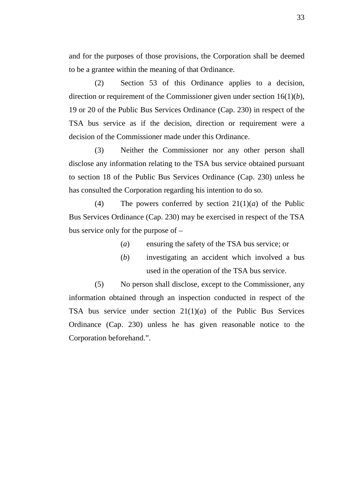and for the purposes of those provisions, the Corporation shall be deemed to be a grantee within the meaning of that Ordinance.

(2) Section 53 of this Ordinance applies to a decision, direction or requirement of the Commissioner given under section 16(1)(*b*), 19 or 20 of the Public Bus Services Ordinance (Cap. 230) in respect of the TSA bus service as if the decision, direction or requirement were a decision of the Commissioner made under this Ordinance.

(3) Neither the Commissioner nor any other person shall disclose any information relating to the TSA bus service obtained pursuant to section 18 of the Public Bus Services Ordinance (Cap. 230) unless he has consulted the Corporation regarding his intention to do so.

(4) The powers conferred by section  $21(1)(a)$  of the Public Bus Services Ordinance (Cap. 230) may be exercised in respect of the TSA bus service only for the purpose of –

- (*a*) ensuring the safety of the TSA bus service; or
- (*b*) investigating an accident which involved a bus used in the operation of the TSA bus service.

(5) No person shall disclose, except to the Commissioner, any information obtained through an inspection conducted in respect of the TSA bus service under section 21(1)(*a*) of the Public Bus Services Ordinance (Cap. 230) unless he has given reasonable notice to the Corporation beforehand.".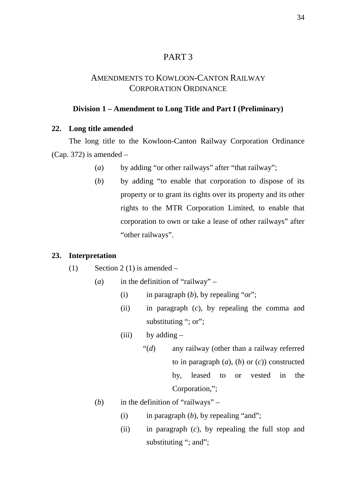## PART 3

## AMENDMENTS TO KOWLOON-CANTON RAILWAY CORPORATION ORDINANCE

## **Division 1 – Amendment to Long Title and Part I (Preliminary)**

### **22. Long title amended**

The long title to the Kowloon-Canton Railway Corporation Ordinance (Cap. 372) is amended  $-$ 

- (*a*) by adding "or other railways" after "that railway";
- (*b*) by adding "to enable that corporation to dispose of its property or to grant its rights over its property and its other rights to the MTR Corporation Limited, to enable that corporation to own or take a lease of other railways" after "other railways".

#### **23. Interpretation**

- (1) Section 2 (1) is amended
	- (*a*) in the definition of "railway"
		- (i) in paragraph  $(b)$ , by repealing "or";
		- (ii) in paragraph (*c*), by repealing the comma and substituting "; or";
		- (iii) by adding  $-$ 
			- "(*d*) any railway (other than a railway referred to in paragraph (*a*), (*b*) or (*c*)) constructed by, leased to or vested in the Corporation,";
	- (*b*) in the definition of "railways"
		- (i) in paragraph (*b*), by repealing "and";
		- (ii) in paragraph (*c*), by repealing the full stop and substituting "; and";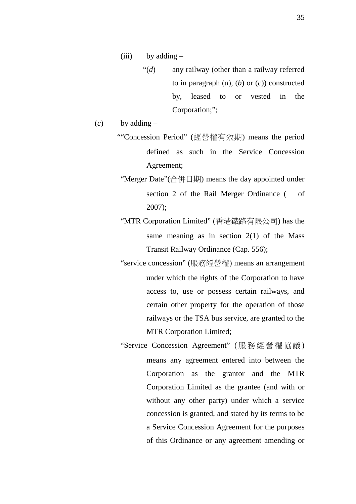- (iii) by adding
	- "(*d*) any railway (other than a railway referred to in paragraph (*a*), (*b*) or (*c*)) constructed by, leased to or vested in the Corporation;";

 $(c)$  by adding –

- ""Concession Period" (經營權有效期) means the period defined as such in the Service Concession Agreement;
- "Merger Date"(合併日期) means the day appointed under section 2 of the Rail Merger Ordinance ( of 2007);
- "MTR Corporation Limited" (香港鐵路有限公司) has the same meaning as in section  $2(1)$  of the Mass Transit Railway Ordinance (Cap. 556);
- "service concession" (服務經營權) means an arrangement under which the rights of the Corporation to have access to, use or possess certain railways, and certain other property for the operation of those railways or the TSA bus service, are granted to the MTR Corporation Limited;
- "Service Concession Agreement" ( 服務經營權協議) means any agreement entered into between the Corporation as the grantor and the MTR Corporation Limited as the grantee (and with or without any other party) under which a service concession is granted, and stated by its terms to be a Service Concession Agreement for the purposes of this Ordinance or any agreement amending or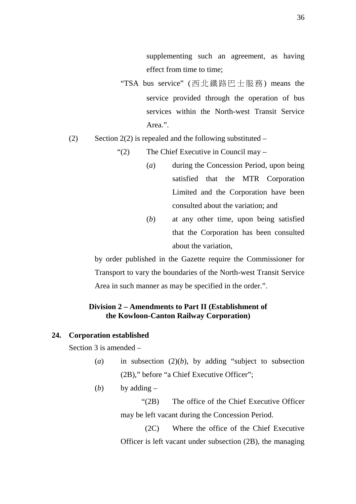supplementing such an agreement, as having effect from time to time;

- "TSA bus service" (西北鐵路巴士服務) means the service provided through the operation of bus services within the North-west Transit Service Area.".
- (2) Section 2(2) is repealed and the following substituted  $-$ 
	- "(2) The Chief Executive in Council may
		- (*a*) during the Concession Period, upon being satisfied that the MTR Corporation Limited and the Corporation have been consulted about the variation; and
		- (*b*) at any other time, upon being satisfied that the Corporation has been consulted about the variation,

by order published in the Gazette require the Commissioner for Transport to vary the boundaries of the North-west Transit Service Area in such manner as may be specified in the order.".

## **Division 2 – Amendments to Part II (Establishment of the Kowloon-Canton Railway Corporation)**

#### **24. Corporation established**

Section 3 is amended –

(*a*) in subsection  $(2)(b)$ , by adding "subject to subsection (2B)," before "a Chief Executive Officer";

(*b*) by adding  $-$ 

"(2B) The office of the Chief Executive Officer may be left vacant during the Concession Period.

(2C) Where the office of the Chief Executive Officer is left vacant under subsection (2B), the managing

36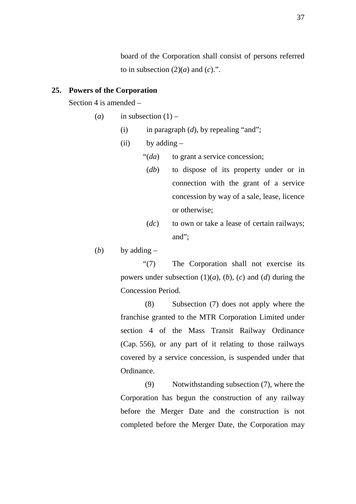board of the Corporation shall consist of persons referred to in subsection  $(2)(a)$  and  $(c)$ .".

### **25. Powers of the Corporation**

Section 4 is amended –

- (*a*) in subsection  $(1)$ 
	- (i) in paragraph  $(d)$ , by repealing "and";
	- $(ii)$  by adding  $-$ 
		- "(*da*) to grant a service concession;
		- (*db*) to dispose of its property under or in connection with the grant of a service concession by way of a sale, lease, licence or otherwise;
		- (*dc*) to own or take a lease of certain railways; and";

(*b*) by adding  $-$ 

"(7) The Corporation shall not exercise its powers under subsection  $(1)(a)$ ,  $(b)$ ,  $(c)$  and  $(d)$  during the Concession Period.

(8) Subsection (7) does not apply where the franchise granted to the MTR Corporation Limited under section 4 of the Mass Transit Railway Ordinance (Cap. 556), or any part of it relating to those railways covered by a service concession, is suspended under that Ordinance.

(9) Notwithstanding subsection (7), where the Corporation has begun the construction of any railway before the Merger Date and the construction is not completed before the Merger Date, the Corporation may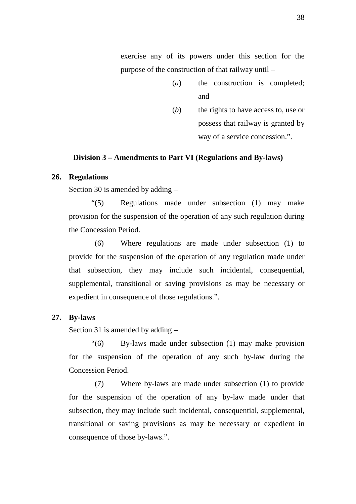exercise any of its powers under this section for the purpose of the construction of that railway until –

- (*a*) the construction is completed; and
- (*b*) the rights to have access to, use or possess that railway is granted by way of a service concession.".

#### **Division 3 – Amendments to Part VI (Regulations and By-laws)**

#### **26. Regulations**

Section 30 is amended by adding –

"(5) Regulations made under subsection (1) may make provision for the suspension of the operation of any such regulation during the Concession Period.

(6) Where regulations are made under subsection (1) to provide for the suspension of the operation of any regulation made under that subsection, they may include such incidental, consequential, supplemental, transitional or saving provisions as may be necessary or expedient in consequence of those regulations.".

#### **27. By-laws**

Section 31 is amended by adding –

"(6) By-laws made under subsection (1) may make provision for the suspension of the operation of any such by-law during the Concession Period.

(7) Where by-laws are made under subsection (1) to provide for the suspension of the operation of any by-law made under that subsection, they may include such incidental, consequential, supplemental, transitional or saving provisions as may be necessary or expedient in consequence of those by-laws.".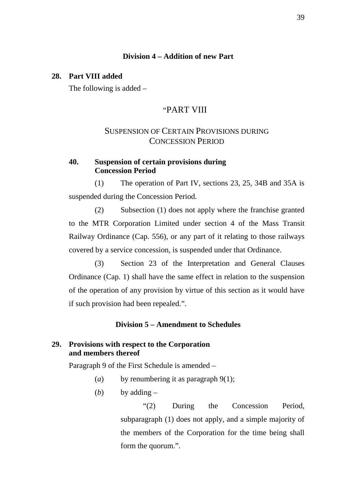## **Division 4 – Addition of new Part**

#### **28. Part VIII added**

The following is added –

## "PART VIII

## SUSPENSION OF CERTAIN PROVISIONS DURING CONCESSION PERIOD

## **40. Suspension of certain provisions during Concession Period**

(1) The operation of Part IV, sections 23, 25, 34B and 35A is suspended during the Concession Period.

(2) Subsection (1) does not apply where the franchise granted to the MTR Corporation Limited under section 4 of the Mass Transit Railway Ordinance (Cap. 556), or any part of it relating to those railways covered by a service concession, is suspended under that Ordinance.

(3) Section 23 of the Interpretation and General Clauses Ordinance (Cap. 1) shall have the same effect in relation to the suspension of the operation of any provision by virtue of this section as it would have if such provision had been repealed.".

## **Division 5 – Amendment to Schedules**

## **29. Provisions with respect to the Corporation and members thereof**

Paragraph 9 of the First Schedule is amended –

- (*a*) by renumbering it as paragraph 9(1);
- (*b*) by adding  $-$

"(2) During the Concession Period, subparagraph (1) does not apply, and a simple majority of the members of the Corporation for the time being shall form the quorum.".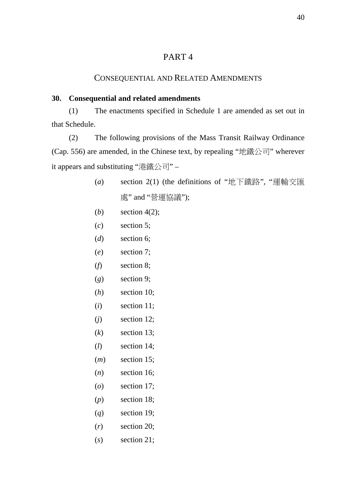## PART 4

### CONSEQUENTIAL AND RELATED AMENDMENTS

### **30. Consequential and related amendments**

(1) The enactments specified in Schedule 1 are amended as set out in that Schedule.

(2) The following provisions of the Mass Transit Railway Ordinance (Cap. 556) are amended, in the Chinese text, by repealing "地鐵公司" wherever it appears and substituting "港鐵公司" –

- (*a*) section 2(1) (the definitions of "地下鐵路", "運輸交匯 處" and "營運協議");
- (*b*) section 4(2);
- (*c*) section 5;
- (*d*) section 6;
- (*e*) section 7;
- (*f*) section 8;
- (*g*) section 9;
- (*h*) section 10;
- (*i*) section 11;
- (*j*) section 12;
- (*k*) section 13;
- (*l*) section 14;
- (*m*) section 15;
- (*n*) section 16;
- (*o*) section 17;
- (*p*) section 18;
- (*q*) section 19;
- (*r*) section 20;
- (*s*) section 21;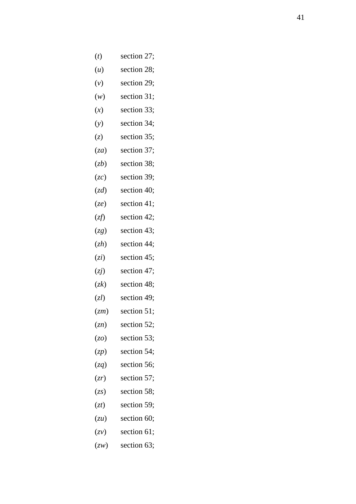- $(t)$ section 27;
- $(u)$ section 28;
- $(v)$ section 29;
- $(w)$ section 31;
- $(x)$ section 33;
- $(y)$ section 34;
- $(z)$ section 35;
- 
- 
- 
- 
- 
- 
- 
- 
- (za) section 37;<br>
(zb) section 38;<br>
(zc) section 40;<br>
(zg) section 41;<br>
(zg) section 42;<br>
(zg) section 43;<br>
(zh) section 44;<br>
(zi) section 45;<br>
(zi) section 47;<br>
(zk) section 48;<br>
(zh) section 49;<br>
(zm) section 51;<br>
(zm)
- 
- 
- 
- 
- 
- 
- 
- 
- 
- 
- 
- 
- 
-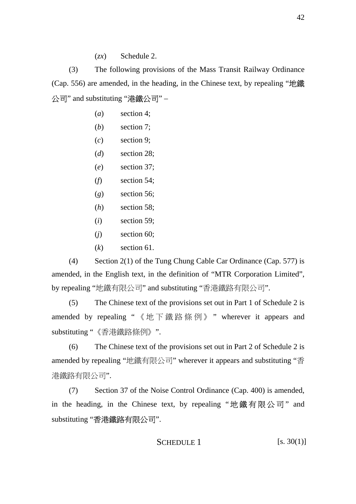(*zx*) Schedule 2.

(3) The following provisions of the Mass Transit Railway Ordinance (Cap. 556) are amended, in the heading, in the Chinese text, by repealing "地鐵 公司" and substituting "港鐵公司" –

- (*a*) section 4;
- (*b*) section 7;
- (*c*) section 9;
- (*d*) section 28;
- (*e*) section 37;
- (*f*) section 54;
- (*g*) section 56;
- (*h*) section 58;
- (*i*) section 59;
- (*j*) section 60;
- (*k*) section 61.

(4) Section 2(1) of the Tung Chung Cable Car Ordinance (Cap. 577) is amended, in the English text, in the definition of "MTR Corporation Limited", by repealing "地鐵有限公司" and substituting "香港鐵路有限公司".

(5) The Chinese text of the provisions set out in Part 1 of Schedule 2 is amended by repealing " 《地下鐵路條例》 " wherever it appears and substituting "《香港鐵路條例》".

(6) The Chinese text of the provisions set out in Part 2 of Schedule 2 is amended by repealing "地鐵有限公司" wherever it appears and substituting "香 港鐵路有限公司".

(7) Section 37 of the Noise Control Ordinance (Cap. 400) is amended, in the heading, in the Chinese text, by repealing " 地鐵有限公司 " and substituting "香港鐵路有限公司".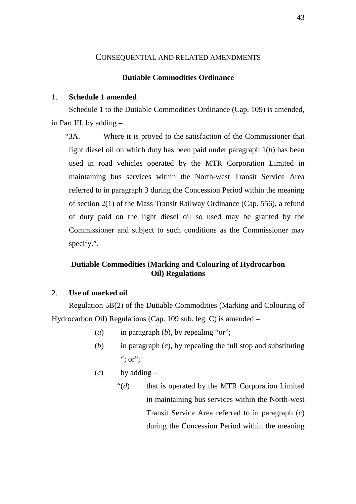#### CONSEQUENTIAL AND RELATED AMENDMENTS

#### **Dutiable Commodities Ordinance**

### 1. **Schedule 1 amended**

Schedule 1 to the Dutiable Commodities Ordinance (Cap. 109) is amended, in Part III, by adding –

"3A. Where it is proved to the satisfaction of the Commissioner that light diesel oil on which duty has been paid under paragraph 1(*b*) has been used in road vehicles operated by the MTR Corporation Limited in maintaining bus services within the North-west Transit Service Area referred to in paragraph 3 during the Concession Period within the meaning of section 2(1) of the Mass Transit Railway Ordinance (Cap. 556), a refund of duty paid on the light diesel oil so used may be granted by the Commissioner and subject to such conditions as the Commissioner may specify.".

## **Dutiable Commodities (Marking and Colouring of Hydrocarbon Oil) Regulations**

## 2. **Use of marked oil**

Regulation 5B(2) of the Dutiable Commodities (Marking and Colouring of Hydrocarbon Oil) Regulations (Cap. 109 sub. leg. C) is amended –

- (*a*) in paragraph (*b*), by repealing "or";
- (*b*) in paragraph (*c*), by repealing the full stop and substituting ":  $or$ ":
- $(c)$  by adding  $-$ 
	- "(*d*) that is operated by the MTR Corporation Limited in maintaining bus services within the North-west Transit Service Area referred to in paragraph (*c*) during the Concession Period within the meaning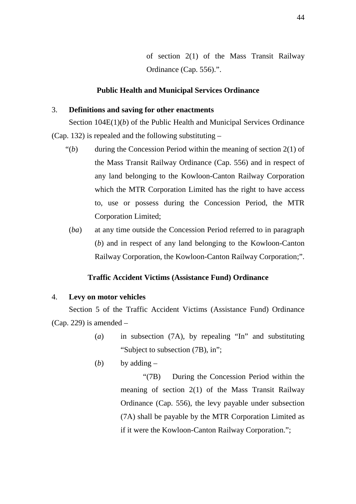of section 2(1) of the Mass Transit Railway Ordinance (Cap. 556).".

#### **Public Health and Municipal Services Ordinance**

## 3. **Definitions and saving for other enactments**

Section 104E(1)(*b*) of the Public Health and Municipal Services Ordinance (Cap. 132) is repealed and the following substituting –

- $\mathcal{L}(b)$  during the Concession Period within the meaning of section 2(1) of the Mass Transit Railway Ordinance (Cap. 556) and in respect of any land belonging to the Kowloon-Canton Railway Corporation which the MTR Corporation Limited has the right to have access to, use or possess during the Concession Period, the MTR Corporation Limited;
- (*ba*) at any time outside the Concession Period referred to in paragraph (*b*) and in respect of any land belonging to the Kowloon-Canton Railway Corporation, the Kowloon-Canton Railway Corporation;".

#### **Traffic Accident Victims (Assistance Fund) Ordinance**

#### 4. **Levy on motor vehicles**

Section 5 of the Traffic Accident Victims (Assistance Fund) Ordinance (Cap. 229) is amended  $-$ 

- (*a*) in subsection (7A), by repealing "In" and substituting "Subject to subsection (7B), in";
- (*b*) by adding  $-$

"(7B) During the Concession Period within the meaning of section 2(1) of the Mass Transit Railway Ordinance (Cap. 556), the levy payable under subsection (7A) shall be payable by the MTR Corporation Limited as if it were the Kowloon-Canton Railway Corporation.";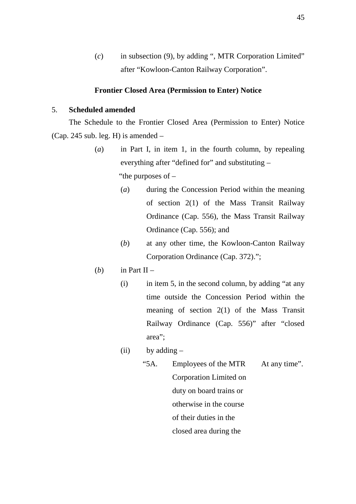(*c*) in subsection (9), by adding ", MTR Corporation Limited" after "Kowloon-Canton Railway Corporation".

#### **Frontier Closed Area (Permission to Enter) Notice**

#### 5. **Scheduled amended**

The Schedule to the Frontier Closed Area (Permission to Enter) Notice (Cap. 245 sub. leg. H) is amended  $-$ 

- (*a*) in Part I, in item 1, in the fourth column, by repealing everything after "defined for" and substituting – "the purposes of –
	- (*a*) during the Concession Period within the meaning of section 2(1) of the Mass Transit Railway Ordinance (Cap. 556), the Mass Transit Railway Ordinance (Cap. 556); and
	- (*b*) at any other time, the Kowloon-Canton Railway Corporation Ordinance (Cap. 372).";
- (*b*) in Part II
	- (i) in item 5, in the second column, by adding "at any time outside the Concession Period within the meaning of section 2(1) of the Mass Transit Railway Ordinance (Cap. 556)" after "closed area";
	- (ii) by adding  $-$ 
		- "5A. Employees of the MTR Corporation Limited on duty on board trains or otherwise in the course of their duties in the closed area during the At any time".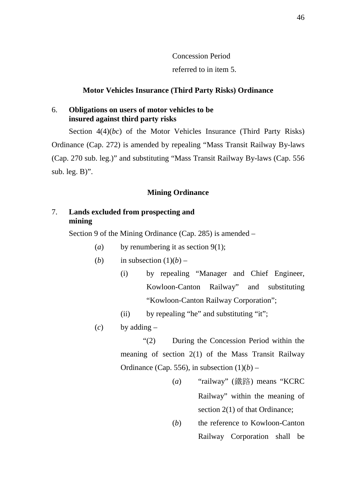## Concession Period referred to in item 5.

## **Motor Vehicles Insurance (Third Party Risks) Ordinance**

## 6. **Obligations on users of motor vehicles to be insured against third party risks**

Section 4(4)(*bc*) of the Motor Vehicles Insurance (Third Party Risks) Ordinance (Cap. 272) is amended by repealing "Mass Transit Railway By-laws (Cap. 270 sub. leg.)" and substituting "Mass Transit Railway By-laws (Cap. 556 sub. leg. B)".

#### **Mining Ordinance**

## 7. **Lands excluded from prospecting and mining**

Section 9 of the Mining Ordinance (Cap. 285) is amended –

(*a*) by renumbering it as section 9(1);

(b) in subsection 
$$
(1)(b)
$$
 –

- (i) by repealing "Manager and Chief Engineer, Kowloon-Canton Railway" and substituting "Kowloon-Canton Railway Corporation";
- (ii) by repealing "he" and substituting "it";
- (*c*) by adding –

"(2) During the Concession Period within the meaning of section 2(1) of the Mass Transit Railway Ordinance (Cap. 556), in subsection  $(1)(b)$  –

- (*a*) "railway" (鐵路) means "KCRC Railway" within the meaning of section 2(1) of that Ordinance:
- (*b*) the reference to Kowloon-Canton Railway Corporation shall be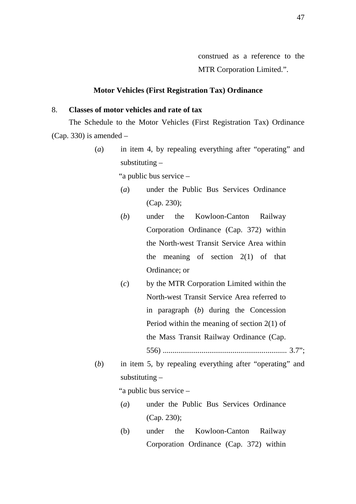#### **Motor Vehicles (First Registration Tax) Ordinance**

### 8. **Classes of motor vehicles and rate of tax**

The Schedule to the Motor Vehicles (First Registration Tax) Ordinance (Cap. 330) is amended –

> (*a*) in item 4, by repealing everything after "operating" and substituting –

> > "a public bus service –

- (*a*) under the Public Bus Services Ordinance (Cap. 230);
- (*b*) under the Kowloon-Canton Railway Corporation Ordinance (Cap. 372) within the North-west Transit Service Area within the meaning of section  $2(1)$  of that Ordinance; or
- (*c*) by the MTR Corporation Limited within the North-west Transit Service Area referred to in paragraph (*b*) during the Concession Period within the meaning of section 2(1) of the Mass Transit Railway Ordinance (Cap. 556) ................................................................ 3.7";
- (*b*) in item 5, by repealing everything after "operating" and substituting –

"a public bus service –

- (*a*) under the Public Bus Services Ordinance (Cap. 230);
- (b) under the Kowloon-Canton Railway Corporation Ordinance (Cap. 372) within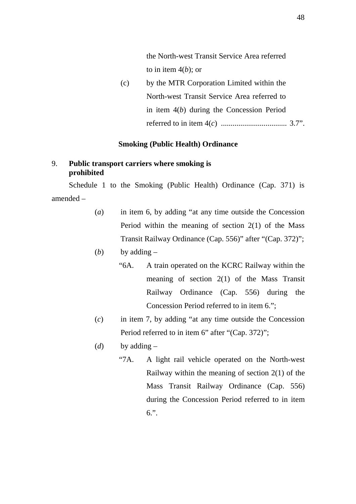the North-west Transit Service Area referred to in item 4(*b*); or

(c) by the MTR Corporation Limited within the North-west Transit Service Area referred to in item 4(*b*) during the Concession Period referred to in item 4(*c*) .................................. 3.7".

### **Smoking (Public Health) Ordinance**

## 9. **Public transport carriers where smoking is prohibited**

Schedule 1 to the Smoking (Public Health) Ordinance (Cap. 371) is amended –

- (*a*) in item 6, by adding "at any time outside the Concession Period within the meaning of section 2(1) of the Mass Transit Railway Ordinance (Cap. 556)" after "(Cap. 372)";
- (*b*) by adding  $-$ 
	- "6A. A train operated on the KCRC Railway within the meaning of section 2(1) of the Mass Transit Railway Ordinance (Cap. 556) during the Concession Period referred to in item 6.";
- (*c*) in item 7, by adding "at any time outside the Concession Period referred to in item 6" after "(Cap. 372)";
- (*d*) by adding  $-$ 
	- "7A. A light rail vehicle operated on the North-west Railway within the meaning of section 2(1) of the Mass Transit Railway Ordinance (Cap. 556) during the Concession Period referred to in item 6.".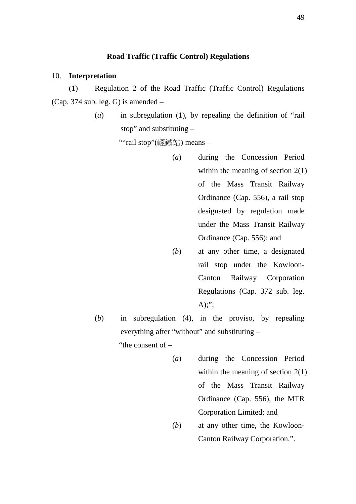## **Road Traffic (Traffic Control) Regulations**

#### 10. **Interpretation**

(1) Regulation 2 of the Road Traffic (Traffic Control) Regulations (Cap. 374 sub. leg. G) is amended –

> (*a*) in subregulation (1), by repealing the definition of "rail stop" and substituting –

> > ""rail stop"(輕鐵站) means –

- (*a*) during the Concession Period within the meaning of section 2(1) of the Mass Transit Railway Ordinance (Cap. 556), a rail stop designated by regulation made under the Mass Transit Railway Ordinance (Cap. 556); and
- (*b*) at any other time, a designated rail stop under the Kowloon-Canton Railway Corporation Regulations (Cap. 372 sub. leg.  $A$ ):":
- (*b*) in subregulation (4), in the proviso, by repealing everything after "without" and substituting – "the consent of –
	- (*a*) during the Concession Period within the meaning of section 2(1) of the Mass Transit Railway Ordinance (Cap. 556), the MTR Corporation Limited; and
	- (*b*) at any other time, the Kowloon-Canton Railway Corporation.".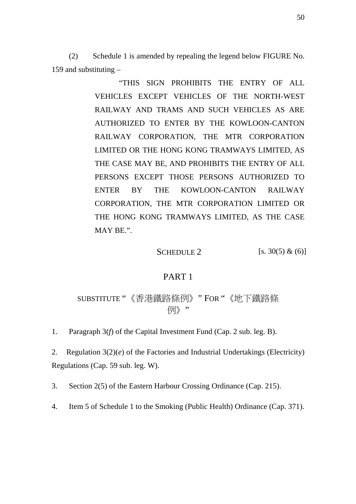(2) Schedule 1 is amended by repealing the legend below FIGURE No. 159 and substituting –

> "THIS SIGN PROHIBITS THE ENTRY OF ALL VEHICLES EXCEPT VEHICLES OF THE NORTH-WEST RAILWAY AND TRAMS AND SUCH VEHICLES AS ARE AUTHORIZED TO ENTER BY THE KOWLOON-CANTON RAILWAY CORPORATION, THE MTR CORPORATION LIMITED OR THE HONG KONG TRAMWAYS LIMITED, AS THE CASE MAY BE, AND PROHIBITS THE ENTRY OF ALL PERSONS EXCEPT THOSE PERSONS AUTHORIZED TO ENTER BY THE KOWLOON-CANTON RAILWAY CORPORATION, THE MTR CORPORATION LIMITED OR THE HONG KONG TRAMWAYS LIMITED, AS THE CASE MAY BE.".

> > SCHEDULE 2 [s. 30(5)  $\&$  (6)]

### PART 1

SUBSTITUTE "《香港鐵路條例》" FOR "《地下鐵路條 例》"

1. Paragraph 3(*f*) of the Capital Investment Fund (Cap. 2 sub. leg. B).

2. Regulation 3(2)(*e*) of the Factories and Industrial Undertakings (Electricity) Regulations (Cap. 59 sub. leg. W).

3. Section 2(5) of the Eastern Harbour Crossing Ordinance (Cap. 215).

4. Item 5 of Schedule 1 to the Smoking (Public Health) Ordinance (Cap. 371).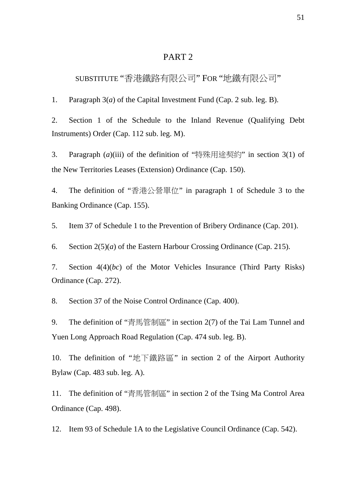## PART 2

## SUBSTITUTE "香港鐵路有限公司" FOR "地鐵有限公司"

1. Paragraph 3(*a*) of the Capital Investment Fund (Cap. 2 sub. leg. B).

2. Section 1 of the Schedule to the Inland Revenue (Qualifying Debt Instruments) Order (Cap. 112 sub. leg. M).

3. Paragraph (*a*)(iii) of the definition of "特殊用途契約" in section 3(1) of the New Territories Leases (Extension) Ordinance (Cap. 150).

4. The definition of "香港公營單位" in paragraph 1 of Schedule 3 to the Banking Ordinance (Cap. 155).

5. Item 37 of Schedule 1 to the Prevention of Bribery Ordinance (Cap. 201).

6. Section 2(5)(*a*) of the Eastern Harbour Crossing Ordinance (Cap. 215).

7. Section 4(4)(*bc*) of the Motor Vehicles Insurance (Third Party Risks) Ordinance (Cap. 272).

8. Section 37 of the Noise Control Ordinance (Cap. 400).

9. The definition of "青馬管制區" in section 2(7) of the Tai Lam Tunnel and Yuen Long Approach Road Regulation (Cap. 474 sub. leg. B).

10. The definition of "地下鐵路區" in section 2 of the Airport Authority Bylaw (Cap. 483 sub. leg. A).

11. The definition of "青馬管制區" in section 2 of the Tsing Ma Control Area Ordinance (Cap. 498).

12. Item 93 of Schedule 1A to the Legislative Council Ordinance (Cap. 542).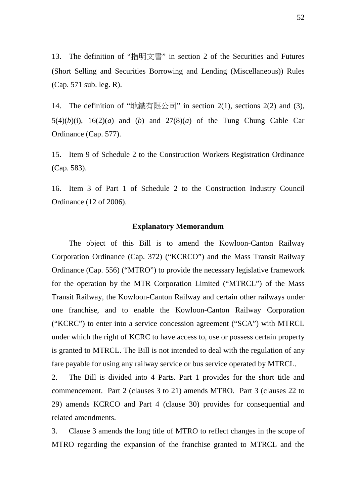13. The definition of "指明文書" in section 2 of the Securities and Futures (Short Selling and Securities Borrowing and Lending (Miscellaneous)) Rules (Cap. 571 sub. leg. R).

14. The definition of "地鐵有限公司" in section 2(1), sections 2(2) and (3), 5(4)(b)(i), 16(2)(a) and (b) and 27(8)(a) of the Tung Chung Cable Car Ordinance (Cap. 577).

15. Item 9 of Schedule 2 to the Construction Workers Registration Ordinance (Cap. 583).

16. Item 3 of Part 1 of Schedule 2 to the Construction Industry Council Ordinance (12 of 2006).

#### **Explanatory Memorandum**

The object of this Bill is to amend the Kowloon-Canton Railway Corporation Ordinance (Cap. 372) ("KCRCO") and the Mass Transit Railway Ordinance (Cap. 556) ("MTRO") to provide the necessary legislative framework for the operation by the MTR Corporation Limited ("MTRCL") of the Mass Transit Railway, the Kowloon-Canton Railway and certain other railways under one franchise, and to enable the Kowloon-Canton Railway Corporation ("KCRC") to enter into a service concession agreement ("SCA") with MTRCL under which the right of KCRC to have access to, use or possess certain property is granted to MTRCL. The Bill is not intended to deal with the regulation of any fare payable for using any railway service or bus service operated by MTRCL.

2. The Bill is divided into 4 Parts. Part 1 provides for the short title and commencement. Part 2 (clauses 3 to 21) amends MTRO. Part 3 (clauses 22 to 29) amends KCRCO and Part 4 (clause 30) provides for consequential and related amendments.

3. Clause 3 amends the long title of MTRO to reflect changes in the scope of MTRO regarding the expansion of the franchise granted to MTRCL and the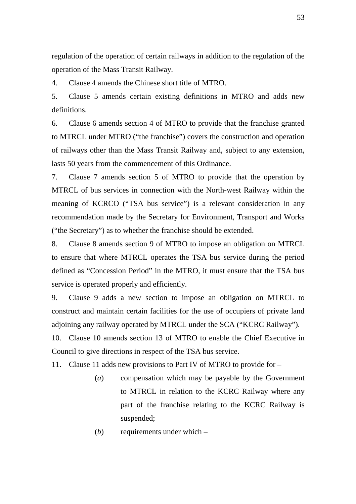regulation of the operation of certain railways in addition to the regulation of the operation of the Mass Transit Railway.

4. Clause 4 amends the Chinese short title of MTRO.

5. Clause 5 amends certain existing definitions in MTRO and adds new definitions.

6. Clause 6 amends section 4 of MTRO to provide that the franchise granted to MTRCL under MTRO ("the franchise") covers the construction and operation of railways other than the Mass Transit Railway and, subject to any extension, lasts 50 years from the commencement of this Ordinance.

7. Clause 7 amends section 5 of MTRO to provide that the operation by MTRCL of bus services in connection with the North-west Railway within the meaning of KCRCO ("TSA bus service") is a relevant consideration in any recommendation made by the Secretary for Environment, Transport and Works ("the Secretary") as to whether the franchise should be extended.

8. Clause 8 amends section 9 of MTRO to impose an obligation on MTRCL to ensure that where MTRCL operates the TSA bus service during the period defined as "Concession Period" in the MTRO, it must ensure that the TSA bus service is operated properly and efficiently.

9. Clause 9 adds a new section to impose an obligation on MTRCL to construct and maintain certain facilities for the use of occupiers of private land adjoining any railway operated by MTRCL under the SCA ("KCRC Railway").

10. Clause 10 amends section 13 of MTRO to enable the Chief Executive in Council to give directions in respect of the TSA bus service.

11. Clause 11 adds new provisions to Part IV of MTRO to provide for –

- (*a*) compensation which may be payable by the Government to MTRCL in relation to the KCRC Railway where any part of the franchise relating to the KCRC Railway is suspended;
- (*b*) requirements under which –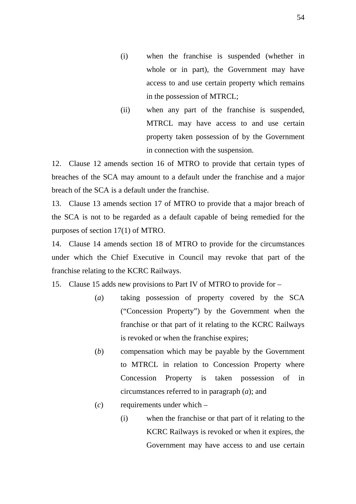- (i) when the franchise is suspended (whether in whole or in part), the Government may have access to and use certain property which remains in the possession of MTRCL;
- (ii) when any part of the franchise is suspended, MTRCL may have access to and use certain property taken possession of by the Government in connection with the suspension.

12. Clause 12 amends section 16 of MTRO to provide that certain types of breaches of the SCA may amount to a default under the franchise and a major breach of the SCA is a default under the franchise.

13. Clause 13 amends section 17 of MTRO to provide that a major breach of the SCA is not to be regarded as a default capable of being remedied for the purposes of section 17(1) of MTRO.

14. Clause 14 amends section 18 of MTRO to provide for the circumstances under which the Chief Executive in Council may revoke that part of the franchise relating to the KCRC Railways.

15. Clause 15 adds new provisions to Part IV of MTRO to provide for –

- (*a*) taking possession of property covered by the SCA ("Concession Property") by the Government when the franchise or that part of it relating to the KCRC Railways is revoked or when the franchise expires;
- (*b*) compensation which may be payable by the Government to MTRCL in relation to Concession Property where Concession Property is taken possession of in circumstances referred to in paragraph (*a*); and
- (*c*) requirements under which
	- (i) when the franchise or that part of it relating to the KCRC Railways is revoked or when it expires, the Government may have access to and use certain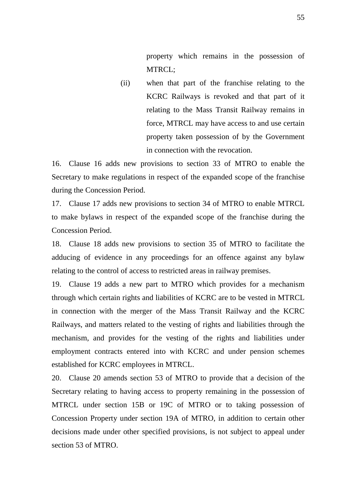property which remains in the possession of MTRCL;

(ii) when that part of the franchise relating to the KCRC Railways is revoked and that part of it relating to the Mass Transit Railway remains in force, MTRCL may have access to and use certain property taken possession of by the Government in connection with the revocation.

16. Clause 16 adds new provisions to section 33 of MTRO to enable the Secretary to make regulations in respect of the expanded scope of the franchise during the Concession Period.

17. Clause 17 adds new provisions to section 34 of MTRO to enable MTRCL to make bylaws in respect of the expanded scope of the franchise during the Concession Period.

18. Clause 18 adds new provisions to section 35 of MTRO to facilitate the adducing of evidence in any proceedings for an offence against any bylaw relating to the control of access to restricted areas in railway premises.

19. Clause 19 adds a new part to MTRO which provides for a mechanism through which certain rights and liabilities of KCRC are to be vested in MTRCL in connection with the merger of the Mass Transit Railway and the KCRC Railways, and matters related to the vesting of rights and liabilities through the mechanism, and provides for the vesting of the rights and liabilities under employment contracts entered into with KCRC and under pension schemes established for KCRC employees in MTRCL.

20. Clause 20 amends section 53 of MTRO to provide that a decision of the Secretary relating to having access to property remaining in the possession of MTRCL under section 15B or 19C of MTRO or to taking possession of Concession Property under section 19A of MTRO, in addition to certain other decisions made under other specified provisions, is not subject to appeal under section 53 of MTRO.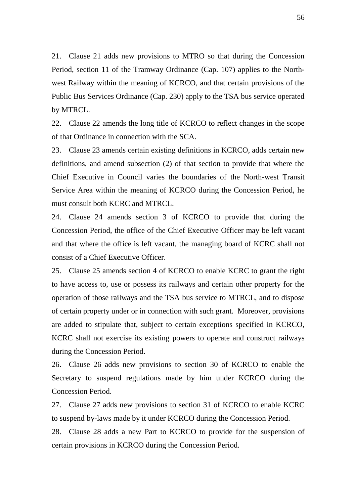21. Clause 21 adds new provisions to MTRO so that during the Concession Period, section 11 of the Tramway Ordinance (Cap. 107) applies to the Northwest Railway within the meaning of KCRCO, and that certain provisions of the Public Bus Services Ordinance (Cap. 230) apply to the TSA bus service operated by MTRCL.

22. Clause 22 amends the long title of KCRCO to reflect changes in the scope of that Ordinance in connection with the SCA.

23. Clause 23 amends certain existing definitions in KCRCO, adds certain new definitions, and amend subsection (2) of that section to provide that where the Chief Executive in Council varies the boundaries of the North-west Transit Service Area within the meaning of KCRCO during the Concession Period, he must consult both KCRC and MTRCL.

24. Clause 24 amends section 3 of KCRCO to provide that during the Concession Period, the office of the Chief Executive Officer may be left vacant and that where the office is left vacant, the managing board of KCRC shall not consist of a Chief Executive Officer.

25. Clause 25 amends section 4 of KCRCO to enable KCRC to grant the right to have access to, use or possess its railways and certain other property for the operation of those railways and the TSA bus service to MTRCL, and to dispose of certain property under or in connection with such grant. Moreover, provisions are added to stipulate that, subject to certain exceptions specified in KCRCO, KCRC shall not exercise its existing powers to operate and construct railways during the Concession Period.

26. Clause 26 adds new provisions to section 30 of KCRCO to enable the Secretary to suspend regulations made by him under KCRCO during the Concession Period.

27. Clause 27 adds new provisions to section 31 of KCRCO to enable KCRC to suspend by-laws made by it under KCRCO during the Concession Period.

28. Clause 28 adds a new Part to KCRCO to provide for the suspension of certain provisions in KCRCO during the Concession Period.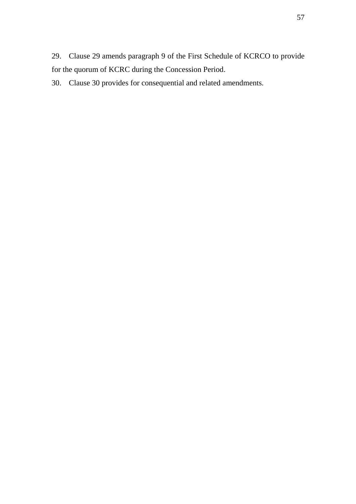29. Clause 29 amends paragraph 9 of the First Schedule of KCRCO to provide for the quorum of KCRC during the Concession Period.

30. Clause 30 provides for consequential and related amendments.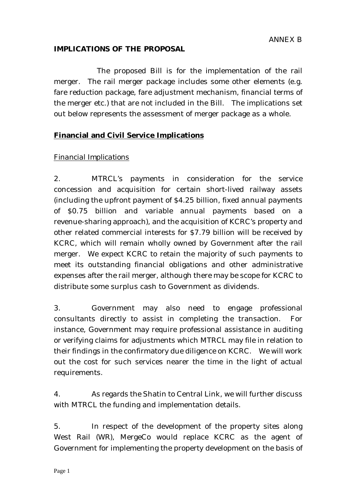#### **IMPLICATIONS OF THE PROPOSAL**

 The proposed Bill is for the implementation of the rail merger. The rail merger package includes some other elements (e.g. fare reduction package, fare adjustment mechanism, financial terms of the merger etc.) that are not included in the Bill. The implications set out below represents the assessment of merger package as a whole.

# **Financial and Civil Service Implications**

## *Financial Implications*

2. MTRCL's payments in consideration for the service concession and acquisition for certain short-lived railway assets (including the upfront payment of \$4.25 billion, fixed annual payments of \$0.75 billion and variable annual payments based on a revenue-sharing approach), and the acquisition of KCRC's property and other related commercial interests for \$7.79 billion will be received by KCRC, which will remain wholly owned by Government after the rail merger. We expect KCRC to retain the majority of such payments to meet its outstanding financial obligations and other administrative expenses after the rail merger, although there may be scope for KCRC to distribute some surplus cash to Government as dividends.

3. Government may also need to engage professional consultants directly to assist in completing the transaction. For instance, Government may require professional assistance in auditing or verifying claims for adjustments which MTRCL may file in relation to their findings in the confirmatory due diligence on KCRC. We will work out the cost for such services nearer the time in the light of actual requirements.

4. As regards the Shatin to Central Link, we will further discuss with MTRCL the funding and implementation details.

5. In respect of the development of the property sites along West Rail (WR), MergeCo would replace KCRC as the agent of Government for implementing the property development on the basis of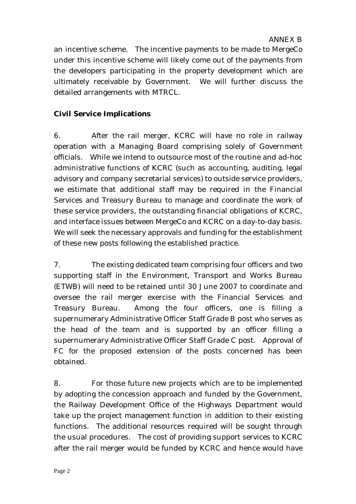an incentive scheme. The incentive payments to be made to MergeCo under this incentive scheme will likely come out of the payments from the developers participating in the property development which are ultimately receivable by Government. We will further discuss the detailed arrangements with MTRCL.

# **Civil Service Implications**

6. After the rail merger, KCRC will have no role in railway operation with a Managing Board comprising solely of Government officials. While we intend to outsource most of the routine and ad-hoc administrative functions of KCRC (such as accounting, auditing, legal advisory and company secretarial services) to outside service providers, we estimate that additional staff may be required in the Financial Services and Treasury Bureau to manage and coordinate the work of these service providers, the outstanding financial obligations of KCRC, and interface issues between MergeCo and KCRC on a day-to-day basis. We will seek the necessary approvals and funding for the establishment of these new posts following the established practice.

7. The existing dedicated team comprising four officers and two supporting staff in the Environment, Transport and Works Bureau (ETWB) will need to be retained until 30 June 2007 to coordinate and oversee the rail merger exercise with the Financial Services and Treasury Bureau. Among the four officers, one is filling a supernumerary Administrative Officer Staff Grade B post who serves as the head of the team and is supported by an officer filling a supernumerary Administrative Officer Staff Grade C post. Approval of FC for the proposed extension of the posts concerned has been obtained.

8. For those future new projects which are to be implemented by adopting the concession approach and funded by the Government, the Railway Development Office of the Highways Department would take up the project management function in addition to their existing functions. The additional resources required will be sought through the usual procedures. The cost of providing support services to KCRC after the rail merger would be funded by KCRC and hence would have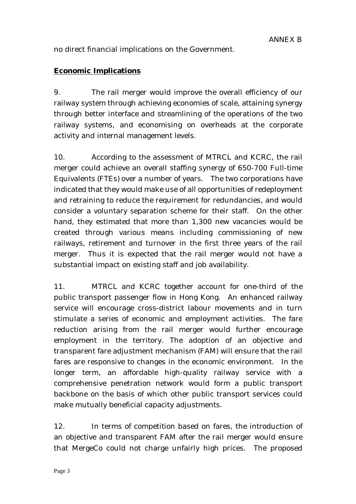no direct financial implications on the Government.

### **Economic Implications**

9. The rail merger would improve the overall efficiency of our railway system through achieving economies of scale, attaining synergy through better interface and streamlining of the operations of the two railway systems, and economising on overheads at the corporate activity and internal management levels.

10. According to the assessment of MTRCL and KCRC, the rail merger could achieve an overall staffing synergy of 650-700 Full-time Equivalents (FTEs) over a number of years. The two corporations have indicated that they would make use of all opportunities of redeployment and retraining to reduce the requirement for redundancies, and would consider a voluntary separation scheme for their staff. On the other hand, they estimated that more than 1,300 new vacancies would be created through various means including commissioning of new railways, retirement and turnover in the first three years of the rail merger. Thus it is expected that the rail merger would not have a substantial impact on existing staff and job availability.

11. MTRCL and KCRC together account for one-third of the public transport passenger flow in Hong Kong. An enhanced railway service will encourage cross-district labour movements and in turn stimulate a series of economic and employment activities. The fare reduction arising from the rail merger would further encourage employment in the territory. The adoption of an objective and transparent fare adjustment mechanism (FAM) will ensure that the rail fares are responsive to changes in the economic environment. In the longer term, an affordable high-quality railway service with a comprehensive penetration network would form a public transport backbone on the basis of which other public transport services could make mutually beneficial capacity adjustments.

12. In terms of competition based on fares, the introduction of an objective and transparent FAM after the rail merger would ensure that MergeCo could not charge unfairly high prices. The proposed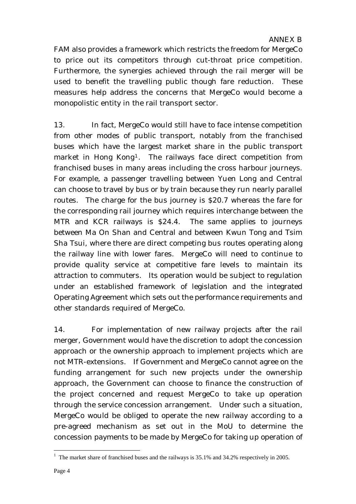FAM also provides a framework which restricts the freedom for MergeCo to price out its competitors through cut-throat price competition. Furthermore, the synergies achieved through the rail merger will be used to benefit the travelling public though fare reduction. These measures help address the concerns that MergeCo would become a monopolistic entity in the rail transport sector.

13. In fact, MergeCo would still have to face intense competition from other modes of public transport, notably from the franchised buses which have the largest market share in the public transport market in Hong Kong1. The railways face direct competition from franchised buses in many areas including the cross harbour journeys. For example, a passenger travelling between Yuen Long and Central can choose to travel by bus or by train because they run nearly parallel routes. The charge for the bus journey is \$20.7 whereas the fare for the corresponding rail journey which requires interchange between the MTR and KCR railways is \$24.4. The same applies to journeys between Ma On Shan and Central and between Kwun Tong and Tsim Sha Tsui, where there are direct competing bus routes operating along the railway line with lower fares. MergeCo will need to continue to provide quality service at competitive fare levels to maintain its attraction to commuters. Its operation would be subject to regulation under an established framework of legislation and the integrated Operating Agreement which sets out the performance requirements and other standards required of MergeCo.

14. For implementation of new railway projects after the rail merger, Government would have the discretion to adopt the concession approach or the ownership approach to implement projects which are not MTR-extensions. If Government and MergeCo cannot agree on the funding arrangement for such new projects under the ownership approach, the Government can choose to finance the construction of the project concerned and request MergeCo to take up operation through the service concession arrangement. Under such a situation, MergeCo would be obliged to operate the new railway according to a pre-agreed mechanism as set out in the MoU to determine the concession payments to be made by MergeCo for taking up operation of

 $\overline{a}$ <sup>1</sup> The market share of franchised buses and the railways is  $35.1\%$  and  $34.2\%$  respectively in 2005.